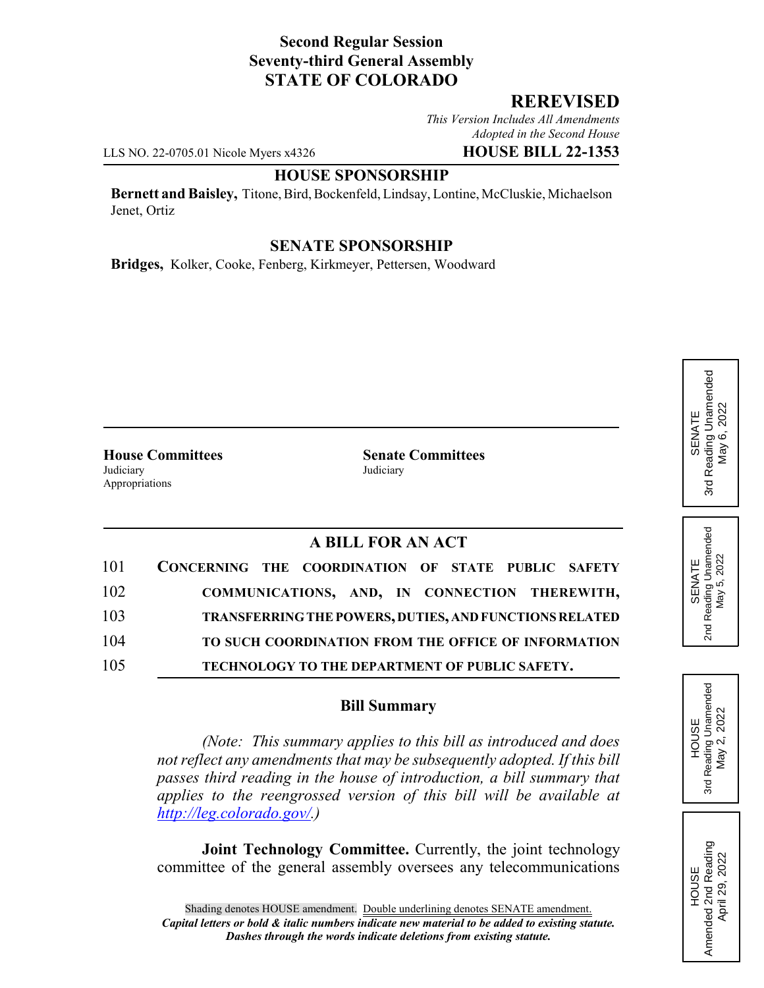### **Second Regular Session Seventy-third General Assembly STATE OF COLORADO**

### **REREVISED**

*This Version Includes All Amendments Adopted in the Second House*

LLS NO. 22-0705.01 Nicole Myers x4326 **HOUSE BILL 22-1353**

#### **HOUSE SPONSORSHIP**

**Bernett and Baisley,** Titone, Bird, Bockenfeld, Lindsay, Lontine, McCluskie, Michaelson Jenet, Ortiz

#### **SENATE SPONSORSHIP**

**Bridges,** Kolker, Cooke, Fenberg, Kirkmeyer, Pettersen, Woodward

Judiciary Judiciary Appropriations

**House Committees Senate Committees**

# **A BILL FOR AN ACT**

| 101 | CONCERNING THE COORDINATION OF STATE PUBLIC SAFETY            |
|-----|---------------------------------------------------------------|
| 102 | COMMUNICATIONS, AND, IN CONNECTION THEREWITH,                 |
| 103 | <b>TRANSFERRING THE POWERS, DUTIES, AND FUNCTIONS RELATED</b> |
| 104 | TO SUCH COORDINATION FROM THE OFFICE OF INFORMATION           |
| 105 | TECHNOLOGY TO THE DEPARTMENT OF PUBLIC SAFETY.                |

#### **Bill Summary**

*(Note: This summary applies to this bill as introduced and does not reflect any amendments that may be subsequently adopted. If this bill passes third reading in the house of introduction, a bill summary that applies to the reengrossed version of this bill will be available at http://leg.colorado.gov/.)*

**Joint Technology Committee.** Currently, the joint technology committee of the general assembly oversees any telecommunications

Reading Unamended 3rd Reading Unamended May 6, 2022 May 6, 2022 SENATE 3rd

SENATE<br>Reading Unamended<br>May 5, 2022 2nd Reading Unamended May 5, 2022  $2<sub>nd</sub>$ 

HOUSE 3rd Reading Unamended May 2, 2022

Reading Unamended May 2, 2022

3rd

HOUSE<br>Amended 2nd Reading<br>April 29, 2022 Amended 2nd Reading April 29, 2022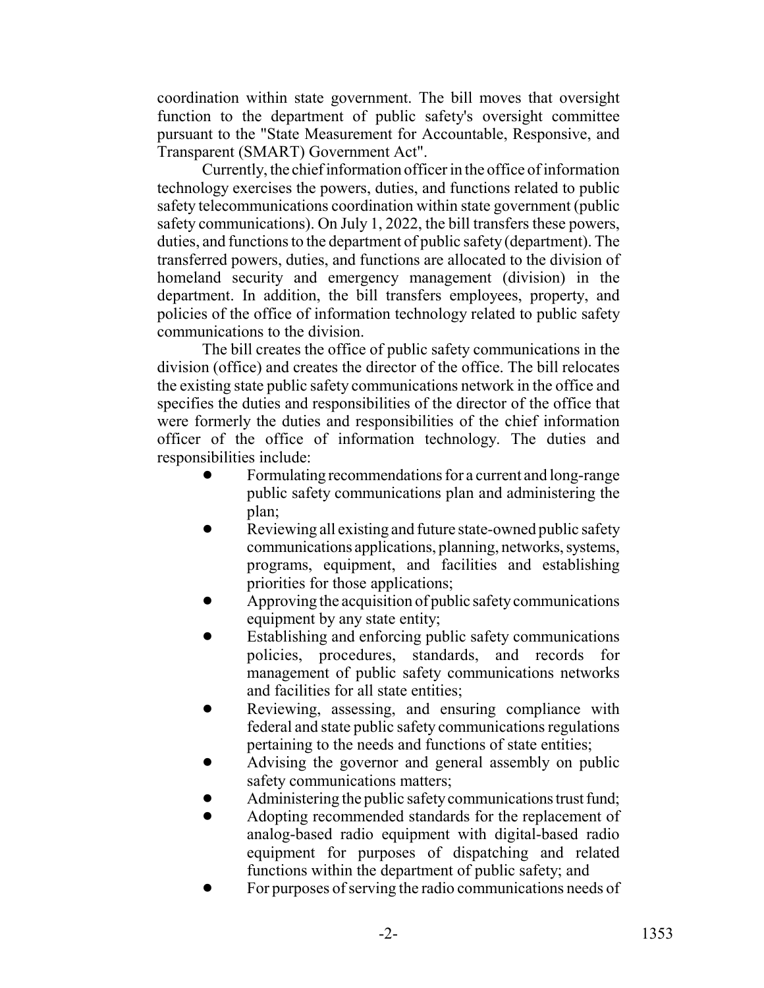coordination within state government. The bill moves that oversight function to the department of public safety's oversight committee pursuant to the "State Measurement for Accountable, Responsive, and Transparent (SMART) Government Act".

Currently, the chief information officer in the office of information technology exercises the powers, duties, and functions related to public safety telecommunications coordination within state government (public safety communications). On July 1, 2022, the bill transfers these powers, duties, and functions to the department of public safety (department). The transferred powers, duties, and functions are allocated to the division of homeland security and emergency management (division) in the department. In addition, the bill transfers employees, property, and policies of the office of information technology related to public safety communications to the division.

The bill creates the office of public safety communications in the division (office) and creates the director of the office. The bill relocates the existing state public safety communications network in the office and specifies the duties and responsibilities of the director of the office that were formerly the duties and responsibilities of the chief information officer of the office of information technology. The duties and responsibilities include:

- ! Formulating recommendations for a current and long-range public safety communications plan and administering the plan;
- Reviewing all existing and future state-owned public safety communications applications, planning, networks, systems, programs, equipment, and facilities and establishing priorities for those applications;
- ! Approving the acquisition of public safety communications equipment by any state entity;
- Establishing and enforcing public safety communications policies, procedures, standards, and records for management of public safety communications networks and facilities for all state entities;
- Reviewing, assessing, and ensuring compliance with federal and state public safety communications regulations pertaining to the needs and functions of state entities;
- ! Advising the governor and general assembly on public safety communications matters;
- Administering the public safety communications trust fund;
- ! Adopting recommended standards for the replacement of analog-based radio equipment with digital-based radio equipment for purposes of dispatching and related functions within the department of public safety; and
- ! For purposes of serving the radio communications needs of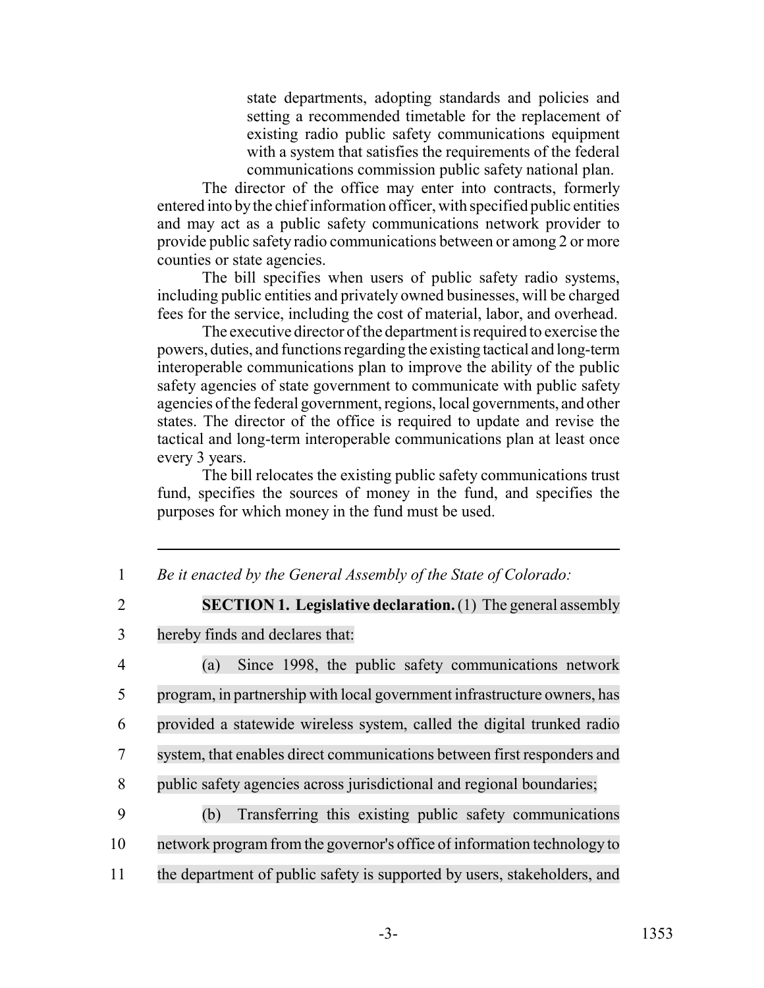state departments, adopting standards and policies and setting a recommended timetable for the replacement of existing radio public safety communications equipment with a system that satisfies the requirements of the federal communications commission public safety national plan.

The director of the office may enter into contracts, formerly entered into by the chief information officer, with specified public entities and may act as a public safety communications network provider to provide public safety radio communications between or among 2 or more counties or state agencies.

The bill specifies when users of public safety radio systems, including public entities and privately owned businesses, will be charged fees for the service, including the cost of material, labor, and overhead.

The executive director of the department is required to exercise the powers, duties, and functions regarding the existing tactical and long-term interoperable communications plan to improve the ability of the public safety agencies of state government to communicate with public safety agencies of the federal government, regions, local governments, and other states. The director of the office is required to update and revise the tactical and long-term interoperable communications plan at least once every 3 years.

The bill relocates the existing public safety communications trust fund, specifies the sources of money in the fund, and specifies the purposes for which money in the fund must be used.

1 *Be it enacted by the General Assembly of the State of Colorado:*

2 **SECTION 1. Legislative declaration.**(1) The general assembly

3 hereby finds and declares that:

 (a) Since 1998, the public safety communications network program, in partnership with local government infrastructure owners, has provided a statewide wireless system, called the digital trunked radio system, that enables direct communications between first responders and public safety agencies across jurisdictional and regional boundaries;

- 9 (b) Transferring this existing public safety communications 10 network program from the governor's office of information technology to
- 11 the department of public safety is supported by users, stakeholders, and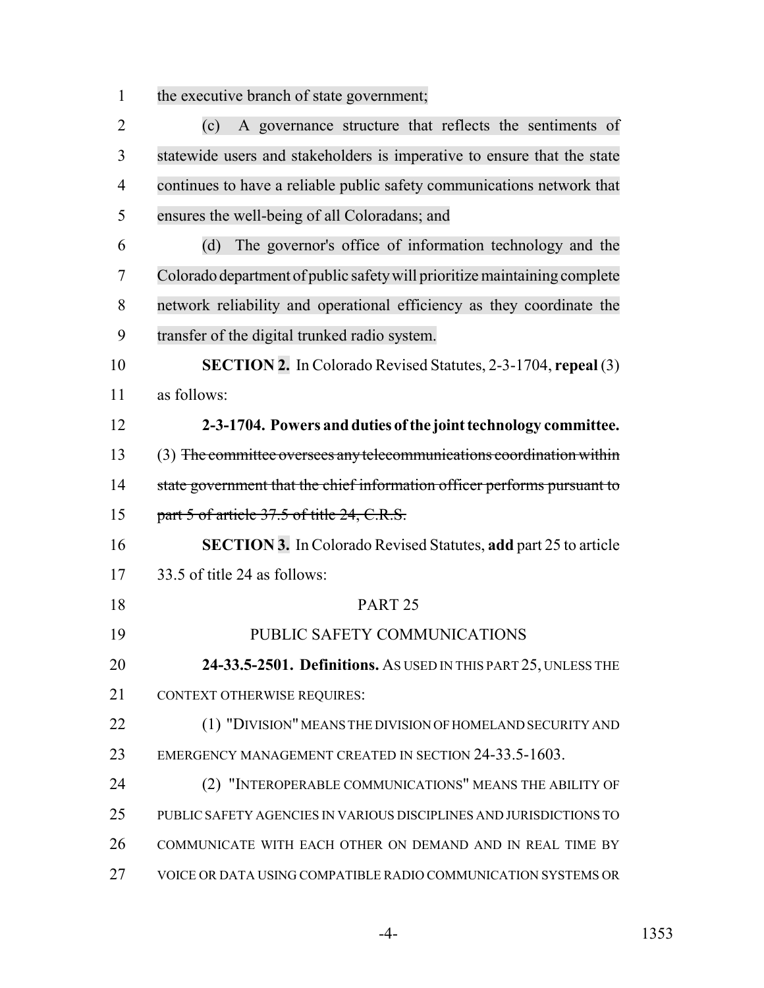the executive branch of state government;

| $\overline{2}$ | A governance structure that reflects the sentiments of<br>(c)             |
|----------------|---------------------------------------------------------------------------|
| 3              | statewide users and stakeholders is imperative to ensure that the state   |
| $\overline{4}$ | continues to have a reliable public safety communications network that    |
| 5              | ensures the well-being of all Coloradans; and                             |
| 6              | The governor's office of information technology and the<br>(d)            |
| 7              | Colorado department of public safety will prioritize maintaining complete |
| 8              | network reliability and operational efficiency as they coordinate the     |
| 9              | transfer of the digital trunked radio system.                             |
| 10             | <b>SECTION 2.</b> In Colorado Revised Statutes, 2-3-1704, repeal (3)      |
| 11             | as follows:                                                               |
| 12             | 2-3-1704. Powers and duties of the joint technology committee.            |
| 13             | (3) The committee oversees any telecommunications coordination within     |
| 14             | state government that the chief information officer performs pursuant to  |
| 15             | part 5 of article 37.5 of title 24, C.R.S.                                |
| 16             | SECTION 3. In Colorado Revised Statutes, add part 25 to article           |
| 17             | 33.5 of title 24 as follows:                                              |
| 18             | PART <sub>25</sub>                                                        |
| 19             | PUBLIC SAFETY COMMUNICATIONS                                              |
| 20             | 24-33.5-2501. Definitions. As USED IN THIS PART 25, UNLESS THE            |
| 21             | <b>CONTEXT OTHERWISE REQUIRES:</b>                                        |
| 22             | (1) "DIVISION" MEANS THE DIVISION OF HOMELAND SECURITY AND                |
| 23             | EMERGENCY MANAGEMENT CREATED IN SECTION 24-33.5-1603.                     |
| 24             | (2) "INTEROPERABLE COMMUNICATIONS" MEANS THE ABILITY OF                   |
| 25             | PUBLIC SAFETY AGENCIES IN VARIOUS DISCIPLINES AND JURISDICTIONS TO        |
| 26             | COMMUNICATE WITH EACH OTHER ON DEMAND AND IN REAL TIME BY                 |
| 27             | VOICE OR DATA USING COMPATIBLE RADIO COMMUNICATION SYSTEMS OR             |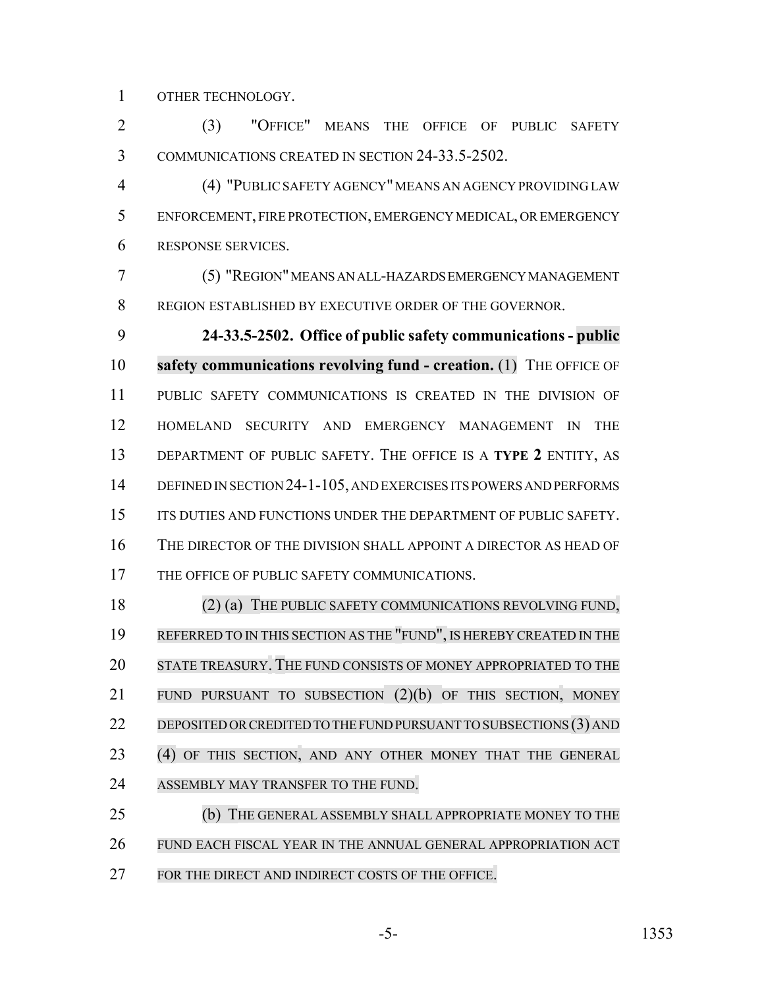OTHER TECHNOLOGY.

 (3) "OFFICE" MEANS THE OFFICE OF PUBLIC SAFETY COMMUNICATIONS CREATED IN SECTION 24-33.5-2502.

 (4) "PUBLIC SAFETY AGENCY" MEANS AN AGENCY PROVIDING LAW ENFORCEMENT, FIRE PROTECTION, EMERGENCY MEDICAL, OR EMERGENCY RESPONSE SERVICES.

 (5) "REGION" MEANS AN ALL-HAZARDS EMERGENCY MANAGEMENT REGION ESTABLISHED BY EXECUTIVE ORDER OF THE GOVERNOR.

 **24-33.5-2502. Office of public safety communications - public safety communications revolving fund - creation.** (1) THE OFFICE OF PUBLIC SAFETY COMMUNICATIONS IS CREATED IN THE DIVISION OF HOMELAND SECURITY AND EMERGENCY MANAGEMENT IN THE DEPARTMENT OF PUBLIC SAFETY. THE OFFICE IS A **TYPE 2** ENTITY, AS DEFINED IN SECTION 24-1-105, AND EXERCISES ITS POWERS AND PERFORMS 15 ITS DUTIES AND FUNCTIONS UNDER THE DEPARTMENT OF PUBLIC SAFETY. THE DIRECTOR OF THE DIVISION SHALL APPOINT A DIRECTOR AS HEAD OF 17 THE OFFICE OF PUBLIC SAFETY COMMUNICATIONS.

18 (2) (a) THE PUBLIC SAFETY COMMUNICATIONS REVOLVING FUND, REFERRED TO IN THIS SECTION AS THE "FUND", IS HEREBY CREATED IN THE STATE TREASURY. THE FUND CONSISTS OF MONEY APPROPRIATED TO THE FUND PURSUANT TO SUBSECTION (2)(b) OF THIS SECTION, MONEY 22 DEPOSITED OR CREDITED TO THE FUND PURSUANT TO SUBSECTIONS (3) AND (4) OF THIS SECTION, AND ANY OTHER MONEY THAT THE GENERAL ASSEMBLY MAY TRANSFER TO THE FUND.

 (b) THE GENERAL ASSEMBLY SHALL APPROPRIATE MONEY TO THE FUND EACH FISCAL YEAR IN THE ANNUAL GENERAL APPROPRIATION ACT FOR THE DIRECT AND INDIRECT COSTS OF THE OFFICE.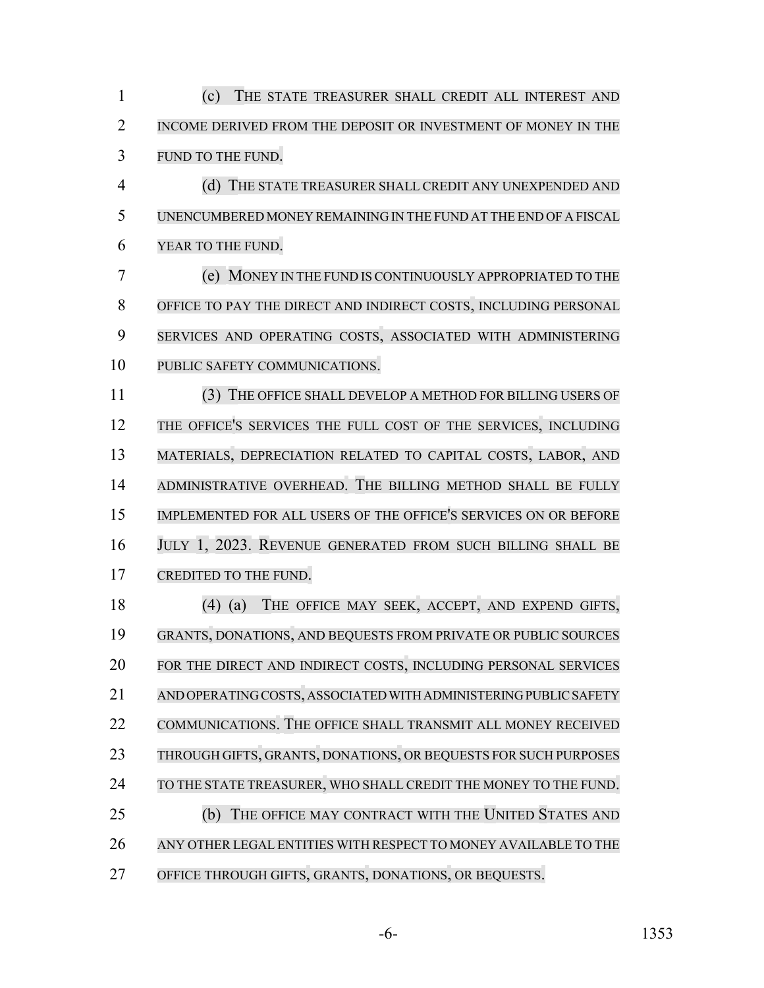(c) THE STATE TREASURER SHALL CREDIT ALL INTEREST AND INCOME DERIVED FROM THE DEPOSIT OR INVESTMENT OF MONEY IN THE FUND TO THE FUND.

 (d) THE STATE TREASURER SHALL CREDIT ANY UNEXPENDED AND UNENCUMBERED MONEY REMAINING IN THE FUND AT THE END OF A FISCAL YEAR TO THE FUND.

 (e) MONEY IN THE FUND IS CONTINUOUSLY APPROPRIATED TO THE OFFICE TO PAY THE DIRECT AND INDIRECT COSTS, INCLUDING PERSONAL SERVICES AND OPERATING COSTS, ASSOCIATED WITH ADMINISTERING PUBLIC SAFETY COMMUNICATIONS.

 (3) THE OFFICE SHALL DEVELOP A METHOD FOR BILLING USERS OF THE OFFICE'S SERVICES THE FULL COST OF THE SERVICES, INCLUDING MATERIALS, DEPRECIATION RELATED TO CAPITAL COSTS, LABOR, AND ADMINISTRATIVE OVERHEAD. THE BILLING METHOD SHALL BE FULLY IMPLEMENTED FOR ALL USERS OF THE OFFICE'S SERVICES ON OR BEFORE JULY 1, 2023. REVENUE GENERATED FROM SUCH BILLING SHALL BE CREDITED TO THE FUND.

 (4) (a) THE OFFICE MAY SEEK, ACCEPT, AND EXPEND GIFTS, GRANTS, DONATIONS, AND BEQUESTS FROM PRIVATE OR PUBLIC SOURCES FOR THE DIRECT AND INDIRECT COSTS, INCLUDING PERSONAL SERVICES AND OPERATING COSTS, ASSOCIATED WITH ADMINISTERING PUBLIC SAFETY 22 COMMUNICATIONS. THE OFFICE SHALL TRANSMIT ALL MONEY RECEIVED THROUGH GIFTS, GRANTS, DONATIONS, OR BEQUESTS FOR SUCH PURPOSES 24 TO THE STATE TREASURER, WHO SHALL CREDIT THE MONEY TO THE FUND. (b) THE OFFICE MAY CONTRACT WITH THE UNITED STATES AND ANY OTHER LEGAL ENTITIES WITH RESPECT TO MONEY AVAILABLE TO THE OFFICE THROUGH GIFTS, GRANTS, DONATIONS, OR BEQUESTS.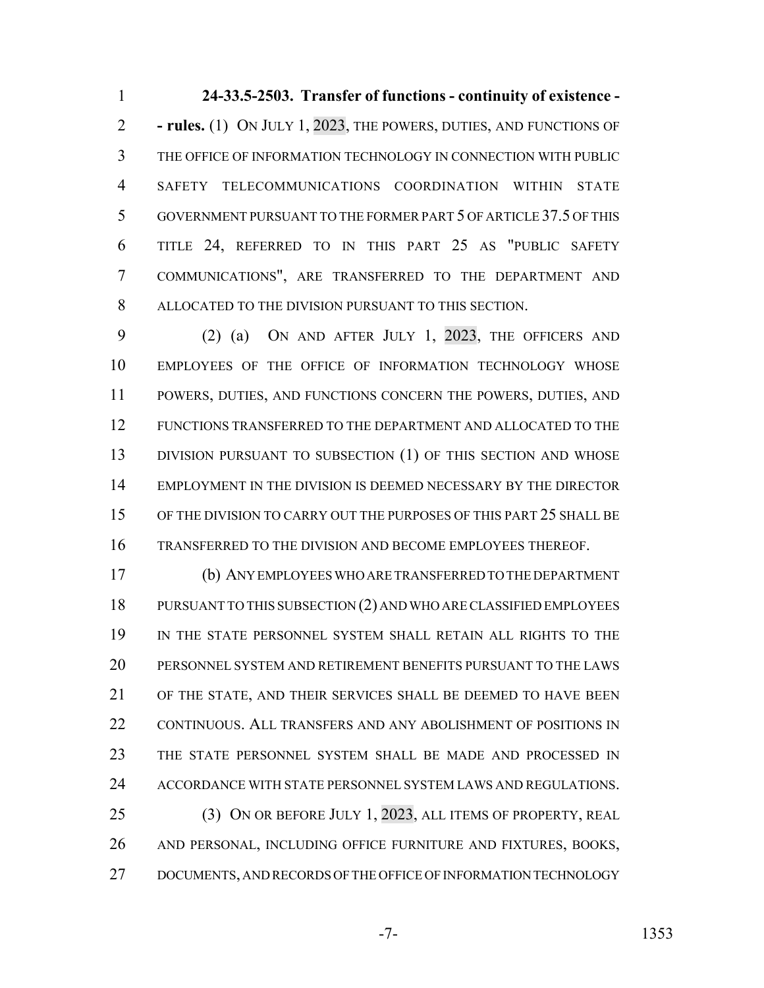**24-33.5-2503. Transfer of functions - continuity of existence - - rules.** (1) ON JULY 1, 2023, THE POWERS, DUTIES, AND FUNCTIONS OF THE OFFICE OF INFORMATION TECHNOLOGY IN CONNECTION WITH PUBLIC SAFETY TELECOMMUNICATIONS COORDINATION WITHIN STATE GOVERNMENT PURSUANT TO THE FORMER PART 5 OF ARTICLE 37.5 OF THIS TITLE 24, REFERRED TO IN THIS PART 25 AS "PUBLIC SAFETY COMMUNICATIONS", ARE TRANSFERRED TO THE DEPARTMENT AND ALLOCATED TO THE DIVISION PURSUANT TO THIS SECTION.

 (2) (a) ON AND AFTER JULY 1, 2023, THE OFFICERS AND EMPLOYEES OF THE OFFICE OF INFORMATION TECHNOLOGY WHOSE POWERS, DUTIES, AND FUNCTIONS CONCERN THE POWERS, DUTIES, AND FUNCTIONS TRANSFERRED TO THE DEPARTMENT AND ALLOCATED TO THE 13 DIVISION PURSUANT TO SUBSECTION (1) OF THIS SECTION AND WHOSE EMPLOYMENT IN THE DIVISION IS DEEMED NECESSARY BY THE DIRECTOR 15 OF THE DIVISION TO CARRY OUT THE PURPOSES OF THIS PART 25 SHALL BE TRANSFERRED TO THE DIVISION AND BECOME EMPLOYEES THEREOF.

 (b) ANY EMPLOYEES WHO ARE TRANSFERRED TO THE DEPARTMENT PURSUANT TO THIS SUBSECTION (2) AND WHO ARE CLASSIFIED EMPLOYEES IN THE STATE PERSONNEL SYSTEM SHALL RETAIN ALL RIGHTS TO THE PERSONNEL SYSTEM AND RETIREMENT BENEFITS PURSUANT TO THE LAWS OF THE STATE, AND THEIR SERVICES SHALL BE DEEMED TO HAVE BEEN CONTINUOUS. ALL TRANSFERS AND ANY ABOLISHMENT OF POSITIONS IN THE STATE PERSONNEL SYSTEM SHALL BE MADE AND PROCESSED IN ACCORDANCE WITH STATE PERSONNEL SYSTEM LAWS AND REGULATIONS. 25 (3) ON OR BEFORE JULY 1, 2023, ALL ITEMS OF PROPERTY, REAL AND PERSONAL, INCLUDING OFFICE FURNITURE AND FIXTURES, BOOKS, DOCUMENTS, AND RECORDS OF THE OFFICE OF INFORMATION TECHNOLOGY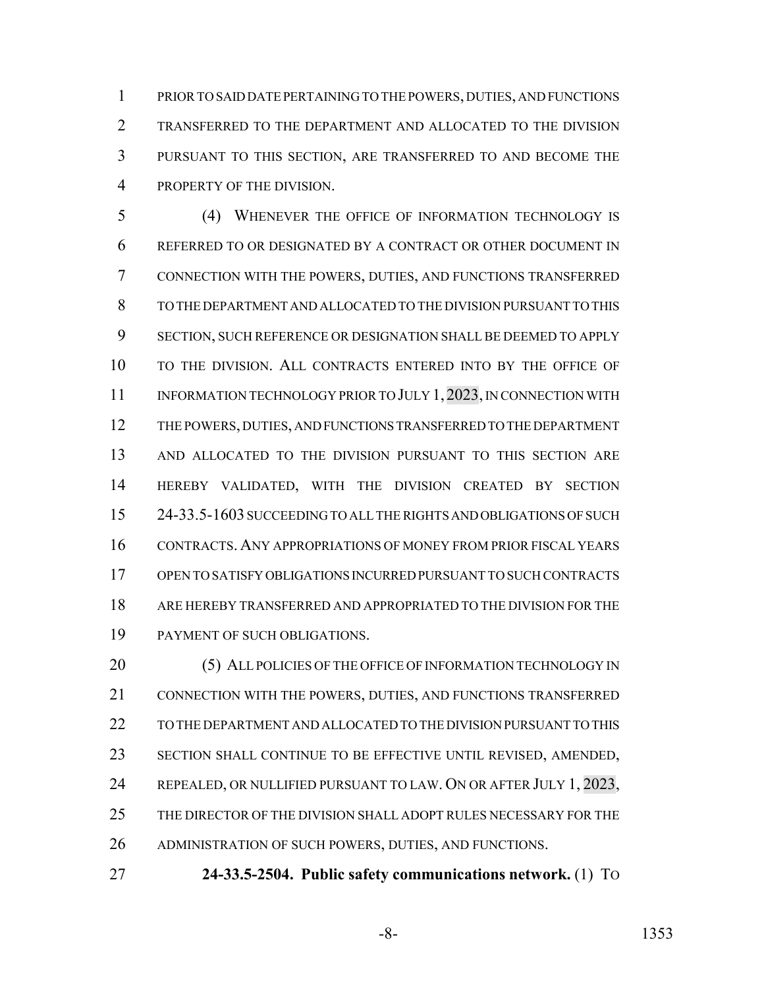PRIOR TO SAID DATE PERTAINING TO THE POWERS, DUTIES, AND FUNCTIONS TRANSFERRED TO THE DEPARTMENT AND ALLOCATED TO THE DIVISION PURSUANT TO THIS SECTION, ARE TRANSFERRED TO AND BECOME THE PROPERTY OF THE DIVISION.

 (4) WHENEVER THE OFFICE OF INFORMATION TECHNOLOGY IS REFERRED TO OR DESIGNATED BY A CONTRACT OR OTHER DOCUMENT IN CONNECTION WITH THE POWERS, DUTIES, AND FUNCTIONS TRANSFERRED TO THE DEPARTMENT AND ALLOCATED TO THE DIVISION PURSUANT TO THIS SECTION, SUCH REFERENCE OR DESIGNATION SHALL BE DEEMED TO APPLY TO THE DIVISION. ALL CONTRACTS ENTERED INTO BY THE OFFICE OF 11 INFORMATION TECHNOLOGY PRIOR TO JULY 1, 2023, IN CONNECTION WITH THE POWERS, DUTIES, AND FUNCTIONS TRANSFERRED TO THE DEPARTMENT AND ALLOCATED TO THE DIVISION PURSUANT TO THIS SECTION ARE HEREBY VALIDATED, WITH THE DIVISION CREATED BY SECTION 24-33.5-1603 SUCCEEDING TO ALL THE RIGHTS AND OBLIGATIONS OF SUCH CONTRACTS. ANY APPROPRIATIONS OF MONEY FROM PRIOR FISCAL YEARS OPEN TO SATISFY OBLIGATIONS INCURRED PURSUANT TO SUCH CONTRACTS ARE HEREBY TRANSFERRED AND APPROPRIATED TO THE DIVISION FOR THE PAYMENT OF SUCH OBLIGATIONS.

20 (5) ALL POLICIES OF THE OFFICE OF INFORMATION TECHNOLOGY IN CONNECTION WITH THE POWERS, DUTIES, AND FUNCTIONS TRANSFERRED TO THE DEPARTMENT AND ALLOCATED TO THE DIVISION PURSUANT TO THIS SECTION SHALL CONTINUE TO BE EFFECTIVE UNTIL REVISED, AMENDED, 24 REPEALED, OR NULLIFIED PURSUANT TO LAW. ON OR AFTER JULY 1, 2023, THE DIRECTOR OF THE DIVISION SHALL ADOPT RULES NECESSARY FOR THE ADMINISTRATION OF SUCH POWERS, DUTIES, AND FUNCTIONS.

**24-33.5-2504. Public safety communications network.** (1) TO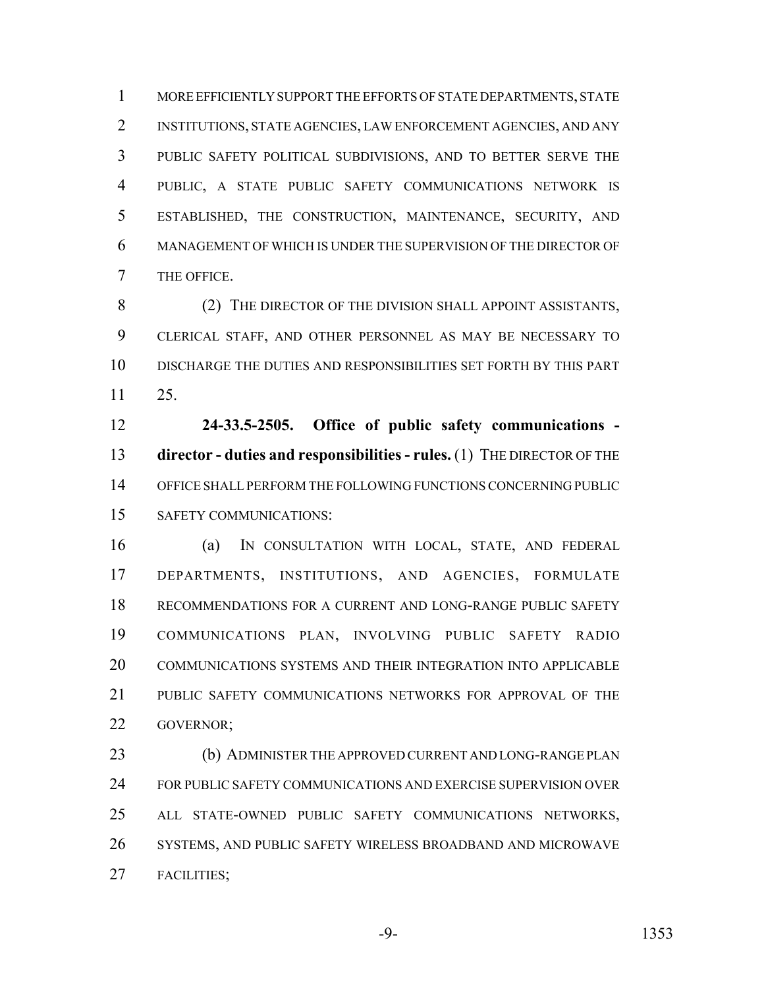MORE EFFICIENTLY SUPPORT THE EFFORTS OF STATE DEPARTMENTS, STATE INSTITUTIONS, STATE AGENCIES, LAW ENFORCEMENT AGENCIES, AND ANY PUBLIC SAFETY POLITICAL SUBDIVISIONS, AND TO BETTER SERVE THE PUBLIC, A STATE PUBLIC SAFETY COMMUNICATIONS NETWORK IS ESTABLISHED, THE CONSTRUCTION, MAINTENANCE, SECURITY, AND MANAGEMENT OF WHICH IS UNDER THE SUPERVISION OF THE DIRECTOR OF THE OFFICE.

8 (2) THE DIRECTOR OF THE DIVISION SHALL APPOINT ASSISTANTS, CLERICAL STAFF, AND OTHER PERSONNEL AS MAY BE NECESSARY TO DISCHARGE THE DUTIES AND RESPONSIBILITIES SET FORTH BY THIS PART 25.

 **24-33.5-2505. Office of public safety communications - director - duties and responsibilities - rules.** (1) THE DIRECTOR OF THE OFFICE SHALL PERFORM THE FOLLOWING FUNCTIONS CONCERNING PUBLIC SAFETY COMMUNICATIONS:

 (a) IN CONSULTATION WITH LOCAL, STATE, AND FEDERAL DEPARTMENTS, INSTITUTIONS, AND AGENCIES, FORMULATE RECOMMENDATIONS FOR A CURRENT AND LONG-RANGE PUBLIC SAFETY COMMUNICATIONS PLAN, INVOLVING PUBLIC SAFETY RADIO COMMUNICATIONS SYSTEMS AND THEIR INTEGRATION INTO APPLICABLE PUBLIC SAFETY COMMUNICATIONS NETWORKS FOR APPROVAL OF THE GOVERNOR;

 (b) ADMINISTER THE APPROVED CURRENT AND LONG-RANGE PLAN FOR PUBLIC SAFETY COMMUNICATIONS AND EXERCISE SUPERVISION OVER ALL STATE-OWNED PUBLIC SAFETY COMMUNICATIONS NETWORKS, SYSTEMS, AND PUBLIC SAFETY WIRELESS BROADBAND AND MICROWAVE FACILITIES;

-9- 1353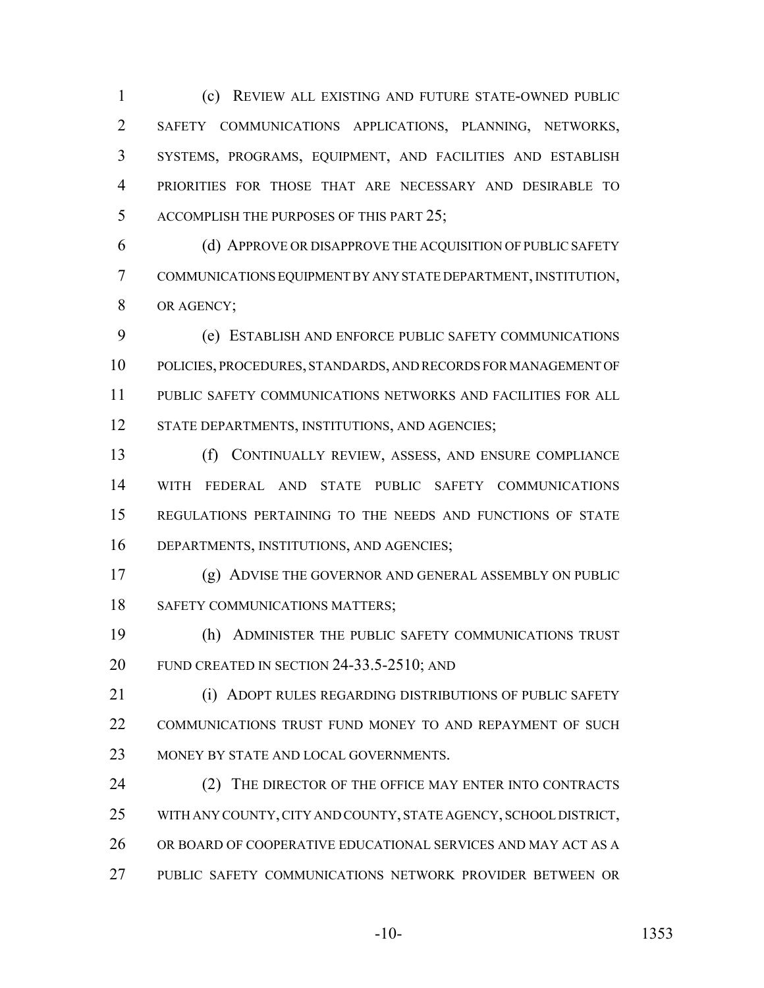(c) REVIEW ALL EXISTING AND FUTURE STATE-OWNED PUBLIC SAFETY COMMUNICATIONS APPLICATIONS, PLANNING, NETWORKS, SYSTEMS, PROGRAMS, EQUIPMENT, AND FACILITIES AND ESTABLISH PRIORITIES FOR THOSE THAT ARE NECESSARY AND DESIRABLE TO ACCOMPLISH THE PURPOSES OF THIS PART 25;

 (d) APPROVE OR DISAPPROVE THE ACQUISITION OF PUBLIC SAFETY COMMUNICATIONS EQUIPMENT BY ANY STATE DEPARTMENT, INSTITUTION, OR AGENCY;

 (e) ESTABLISH AND ENFORCE PUBLIC SAFETY COMMUNICATIONS POLICIES, PROCEDURES, STANDARDS, AND RECORDS FOR MANAGEMENT OF PUBLIC SAFETY COMMUNICATIONS NETWORKS AND FACILITIES FOR ALL 12 STATE DEPARTMENTS, INSTITUTIONS, AND AGENCIES;

 (f) CONTINUALLY REVIEW, ASSESS, AND ENSURE COMPLIANCE WITH FEDERAL AND STATE PUBLIC SAFETY COMMUNICATIONS REGULATIONS PERTAINING TO THE NEEDS AND FUNCTIONS OF STATE DEPARTMENTS, INSTITUTIONS, AND AGENCIES;

 (g) ADVISE THE GOVERNOR AND GENERAL ASSEMBLY ON PUBLIC 18 SAFETY COMMUNICATIONS MATTERS;

 (h) ADMINISTER THE PUBLIC SAFETY COMMUNICATIONS TRUST FUND CREATED IN SECTION 24-33.5-2510; AND

**(i) ADOPT RULES REGARDING DISTRIBUTIONS OF PUBLIC SAFETY**  COMMUNICATIONS TRUST FUND MONEY TO AND REPAYMENT OF SUCH 23 MONEY BY STATE AND LOCAL GOVERNMENTS.

24 (2) THE DIRECTOR OF THE OFFICE MAY ENTER INTO CONTRACTS WITH ANY COUNTY, CITY AND COUNTY, STATE AGENCY, SCHOOL DISTRICT, OR BOARD OF COOPERATIVE EDUCATIONAL SERVICES AND MAY ACT AS A PUBLIC SAFETY COMMUNICATIONS NETWORK PROVIDER BETWEEN OR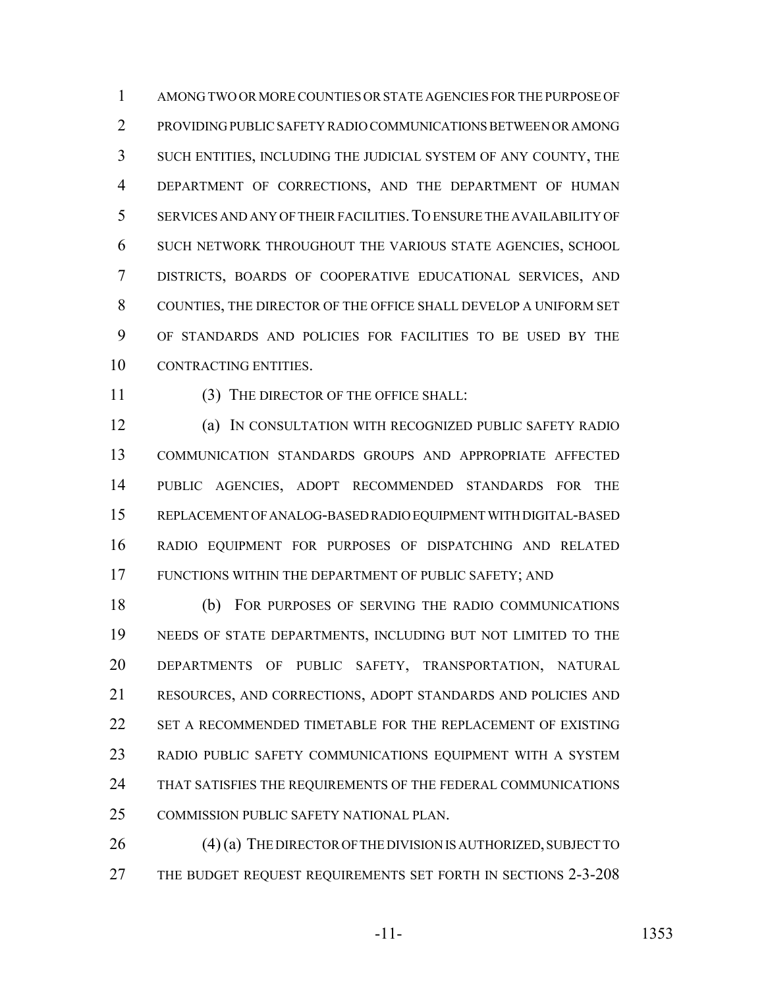AMONG TWO OR MORE COUNTIES OR STATE AGENCIES FOR THE PURPOSE OF PROVIDING PUBLIC SAFETY RADIO COMMUNICATIONS BETWEEN OR AMONG SUCH ENTITIES, INCLUDING THE JUDICIAL SYSTEM OF ANY COUNTY, THE DEPARTMENT OF CORRECTIONS, AND THE DEPARTMENT OF HUMAN SERVICES AND ANY OF THEIR FACILITIES.TO ENSURE THE AVAILABILITY OF SUCH NETWORK THROUGHOUT THE VARIOUS STATE AGENCIES, SCHOOL DISTRICTS, BOARDS OF COOPERATIVE EDUCATIONAL SERVICES, AND COUNTIES, THE DIRECTOR OF THE OFFICE SHALL DEVELOP A UNIFORM SET OF STANDARDS AND POLICIES FOR FACILITIES TO BE USED BY THE CONTRACTING ENTITIES.

11 (3) THE DIRECTOR OF THE OFFICE SHALL:

 (a) IN CONSULTATION WITH RECOGNIZED PUBLIC SAFETY RADIO COMMUNICATION STANDARDS GROUPS AND APPROPRIATE AFFECTED PUBLIC AGENCIES, ADOPT RECOMMENDED STANDARDS FOR THE REPLACEMENT OF ANALOG-BASED RADIO EQUIPMENT WITH DIGITAL-BASED RADIO EQUIPMENT FOR PURPOSES OF DISPATCHING AND RELATED FUNCTIONS WITHIN THE DEPARTMENT OF PUBLIC SAFETY; AND

 (b) FOR PURPOSES OF SERVING THE RADIO COMMUNICATIONS NEEDS OF STATE DEPARTMENTS, INCLUDING BUT NOT LIMITED TO THE DEPARTMENTS OF PUBLIC SAFETY, TRANSPORTATION, NATURAL RESOURCES, AND CORRECTIONS, ADOPT STANDARDS AND POLICIES AND SET A RECOMMENDED TIMETABLE FOR THE REPLACEMENT OF EXISTING RADIO PUBLIC SAFETY COMMUNICATIONS EQUIPMENT WITH A SYSTEM THAT SATISFIES THE REQUIREMENTS OF THE FEDERAL COMMUNICATIONS COMMISSION PUBLIC SAFETY NATIONAL PLAN.

 (4) (a) THE DIRECTOR OF THE DIVISION IS AUTHORIZED, SUBJECT TO THE BUDGET REQUEST REQUIREMENTS SET FORTH IN SECTIONS 2-3-208

-11- 1353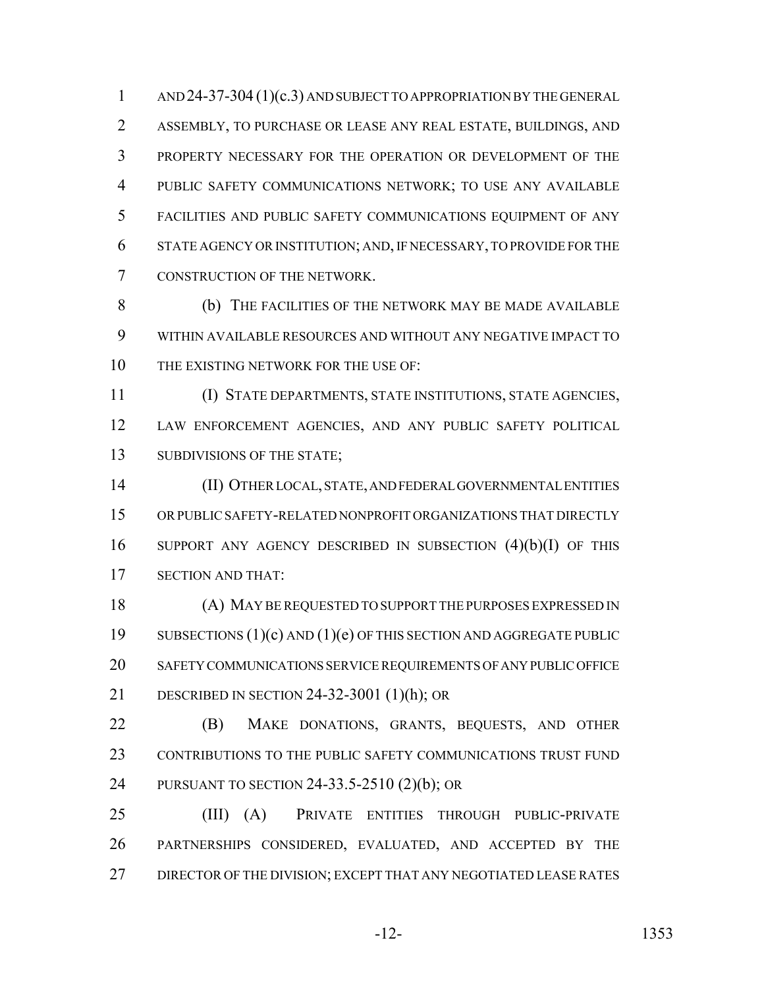1 AND 24-37-304 (1)(c.3) AND SUBJECT TO APPROPRIATION BY THE GENERAL ASSEMBLY, TO PURCHASE OR LEASE ANY REAL ESTATE, BUILDINGS, AND PROPERTY NECESSARY FOR THE OPERATION OR DEVELOPMENT OF THE PUBLIC SAFETY COMMUNICATIONS NETWORK; TO USE ANY AVAILABLE FACILITIES AND PUBLIC SAFETY COMMUNICATIONS EQUIPMENT OF ANY STATE AGENCY OR INSTITUTION; AND, IF NECESSARY, TO PROVIDE FOR THE CONSTRUCTION OF THE NETWORK.

 (b) THE FACILITIES OF THE NETWORK MAY BE MADE AVAILABLE WITHIN AVAILABLE RESOURCES AND WITHOUT ANY NEGATIVE IMPACT TO 10 THE EXISTING NETWORK FOR THE USE OF:

 (I) STATE DEPARTMENTS, STATE INSTITUTIONS, STATE AGENCIES, LAW ENFORCEMENT AGENCIES, AND ANY PUBLIC SAFETY POLITICAL 13 SUBDIVISIONS OF THE STATE;

 (II) OTHER LOCAL, STATE, AND FEDERAL GOVERNMENTAL ENTITIES OR PUBLIC SAFETY-RELATED NONPROFIT ORGANIZATIONS THAT DIRECTLY SUPPORT ANY AGENCY DESCRIBED IN SUBSECTION (4)(b)(I) OF THIS SECTION AND THAT:

 (A) MAY BE REQUESTED TO SUPPORT THE PURPOSES EXPRESSED IN SUBSECTIONS (1)(c) AND (1)(e) OF THIS SECTION AND AGGREGATE PUBLIC SAFETY COMMUNICATIONS SERVICE REQUIREMENTS OF ANY PUBLIC OFFICE DESCRIBED IN SECTION 24-32-3001 (1)(h); OR

 (B) MAKE DONATIONS, GRANTS, BEQUESTS, AND OTHER CONTRIBUTIONS TO THE PUBLIC SAFETY COMMUNICATIONS TRUST FUND PURSUANT TO SECTION 24-33.5-2510 (2)(b); OR

 (III) (A) PRIVATE ENTITIES THROUGH PUBLIC-PRIVATE PARTNERSHIPS CONSIDERED, EVALUATED, AND ACCEPTED BY THE 27 DIRECTOR OF THE DIVISION; EXCEPT THAT ANY NEGOTIATED LEASE RATES

-12- 1353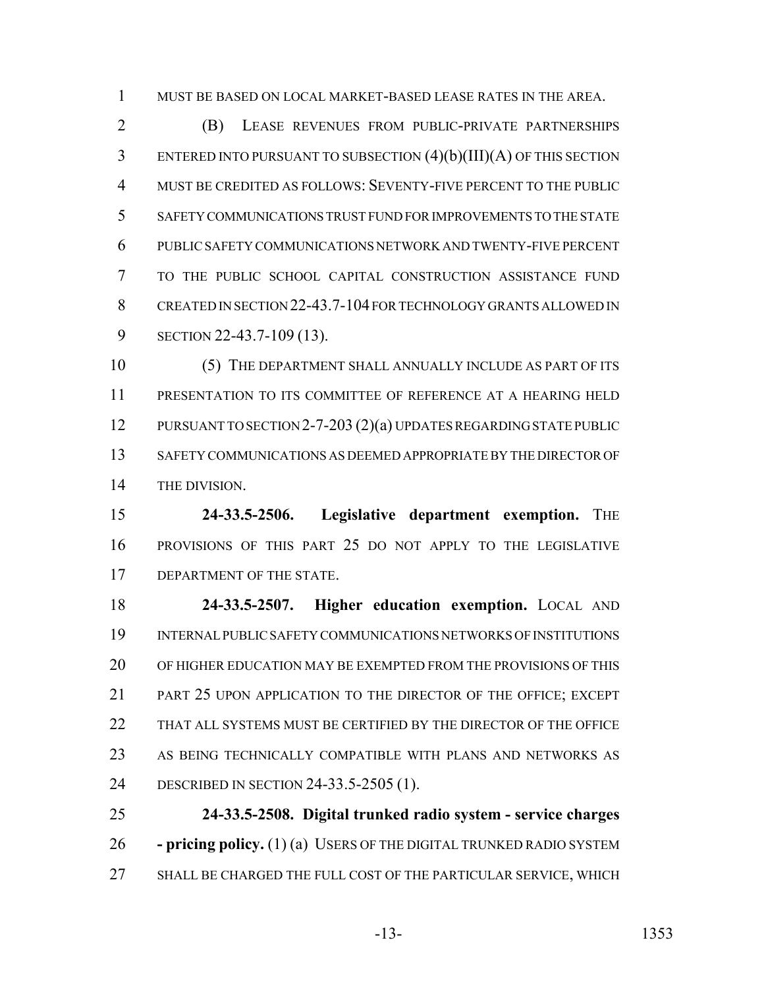MUST BE BASED ON LOCAL MARKET-BASED LEASE RATES IN THE AREA.

 (B) LEASE REVENUES FROM PUBLIC-PRIVATE PARTNERSHIPS ENTERED INTO PURSUANT TO SUBSECTION (4)(b)(III)(A) OF THIS SECTION MUST BE CREDITED AS FOLLOWS: SEVENTY-FIVE PERCENT TO THE PUBLIC SAFETY COMMUNICATIONS TRUST FUND FOR IMPROVEMENTS TO THE STATE PUBLIC SAFETY COMMUNICATIONS NETWORK AND TWENTY-FIVE PERCENT TO THE PUBLIC SCHOOL CAPITAL CONSTRUCTION ASSISTANCE FUND CREATED IN SECTION 22-43.7-104 FOR TECHNOLOGY GRANTS ALLOWED IN SECTION 22-43.7-109 (13).

 (5) THE DEPARTMENT SHALL ANNUALLY INCLUDE AS PART OF ITS PRESENTATION TO ITS COMMITTEE OF REFERENCE AT A HEARING HELD PURSUANT TO SECTION 2-7-203 (2)(a) UPDATES REGARDING STATE PUBLIC SAFETY COMMUNICATIONS AS DEEMED APPROPRIATE BY THE DIRECTOR OF THE DIVISION.

 **24-33.5-2506. Legislative department exemption.** THE PROVISIONS OF THIS PART 25 DO NOT APPLY TO THE LEGISLATIVE 17 DEPARTMENT OF THE STATE.

 **24-33.5-2507. Higher education exemption.** LOCAL AND INTERNAL PUBLIC SAFETY COMMUNICATIONS NETWORKS OF INSTITUTIONS OF HIGHER EDUCATION MAY BE EXEMPTED FROM THE PROVISIONS OF THIS PART 25 UPON APPLICATION TO THE DIRECTOR OF THE OFFICE; EXCEPT 22 THAT ALL SYSTEMS MUST BE CERTIFIED BY THE DIRECTOR OF THE OFFICE AS BEING TECHNICALLY COMPATIBLE WITH PLANS AND NETWORKS AS DESCRIBED IN SECTION 24-33.5-2505 (1).

 **24-33.5-2508. Digital trunked radio system - service charges - pricing policy.** (1) (a) USERS OF THE DIGITAL TRUNKED RADIO SYSTEM SHALL BE CHARGED THE FULL COST OF THE PARTICULAR SERVICE, WHICH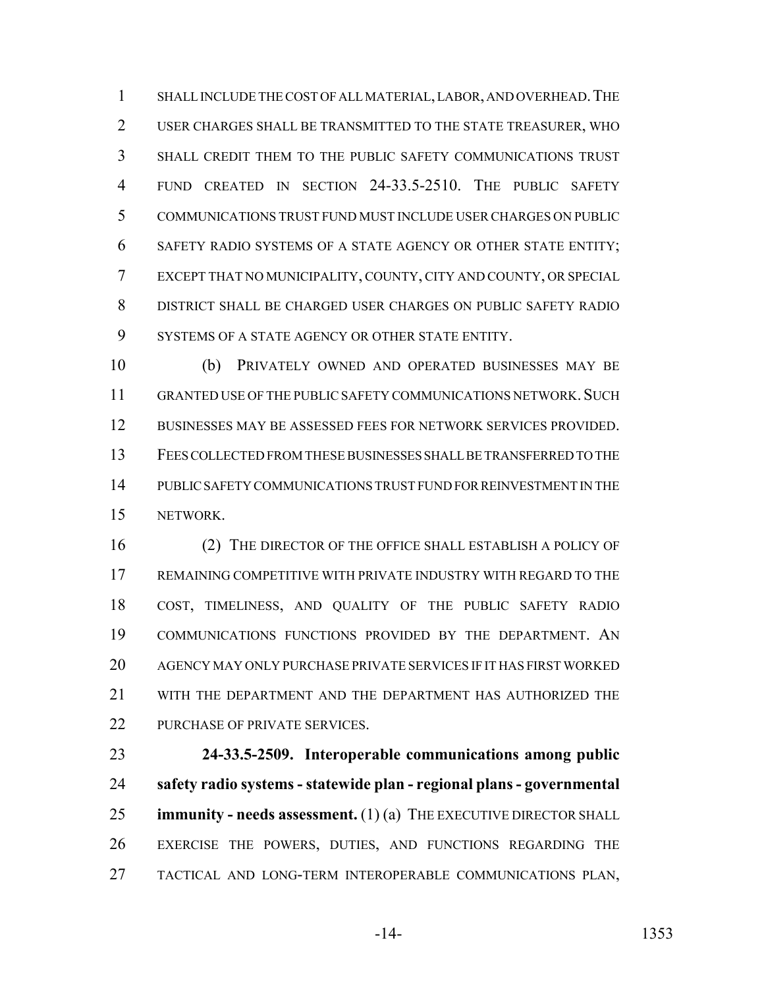SHALL INCLUDE THE COST OF ALL MATERIAL, LABOR, AND OVERHEAD.THE USER CHARGES SHALL BE TRANSMITTED TO THE STATE TREASURER, WHO SHALL CREDIT THEM TO THE PUBLIC SAFETY COMMUNICATIONS TRUST FUND CREATED IN SECTION 24-33.5-2510. THE PUBLIC SAFETY COMMUNICATIONS TRUST FUND MUST INCLUDE USER CHARGES ON PUBLIC SAFETY RADIO SYSTEMS OF A STATE AGENCY OR OTHER STATE ENTITY; EXCEPT THAT NO MUNICIPALITY, COUNTY, CITY AND COUNTY, OR SPECIAL DISTRICT SHALL BE CHARGED USER CHARGES ON PUBLIC SAFETY RADIO SYSTEMS OF A STATE AGENCY OR OTHER STATE ENTITY.

 (b) PRIVATELY OWNED AND OPERATED BUSINESSES MAY BE 11 GRANTED USE OF THE PUBLIC SAFETY COMMUNICATIONS NETWORK. SUCH BUSINESSES MAY BE ASSESSED FEES FOR NETWORK SERVICES PROVIDED. FEES COLLECTED FROM THESE BUSINESSES SHALL BE TRANSFERRED TO THE PUBLIC SAFETY COMMUNICATIONS TRUST FUND FOR REINVESTMENT IN THE NETWORK.

 (2) THE DIRECTOR OF THE OFFICE SHALL ESTABLISH A POLICY OF REMAINING COMPETITIVE WITH PRIVATE INDUSTRY WITH REGARD TO THE COST, TIMELINESS, AND QUALITY OF THE PUBLIC SAFETY RADIO COMMUNICATIONS FUNCTIONS PROVIDED BY THE DEPARTMENT. AN AGENCY MAY ONLY PURCHASE PRIVATE SERVICES IF IT HAS FIRST WORKED WITH THE DEPARTMENT AND THE DEPARTMENT HAS AUTHORIZED THE 22 PURCHASE OF PRIVATE SERVICES.

 **24-33.5-2509. Interoperable communications among public safety radio systems - statewide plan - regional plans - governmental immunity - needs assessment.** (1) (a) THE EXECUTIVE DIRECTOR SHALL EXERCISE THE POWERS, DUTIES, AND FUNCTIONS REGARDING THE TACTICAL AND LONG-TERM INTEROPERABLE COMMUNICATIONS PLAN,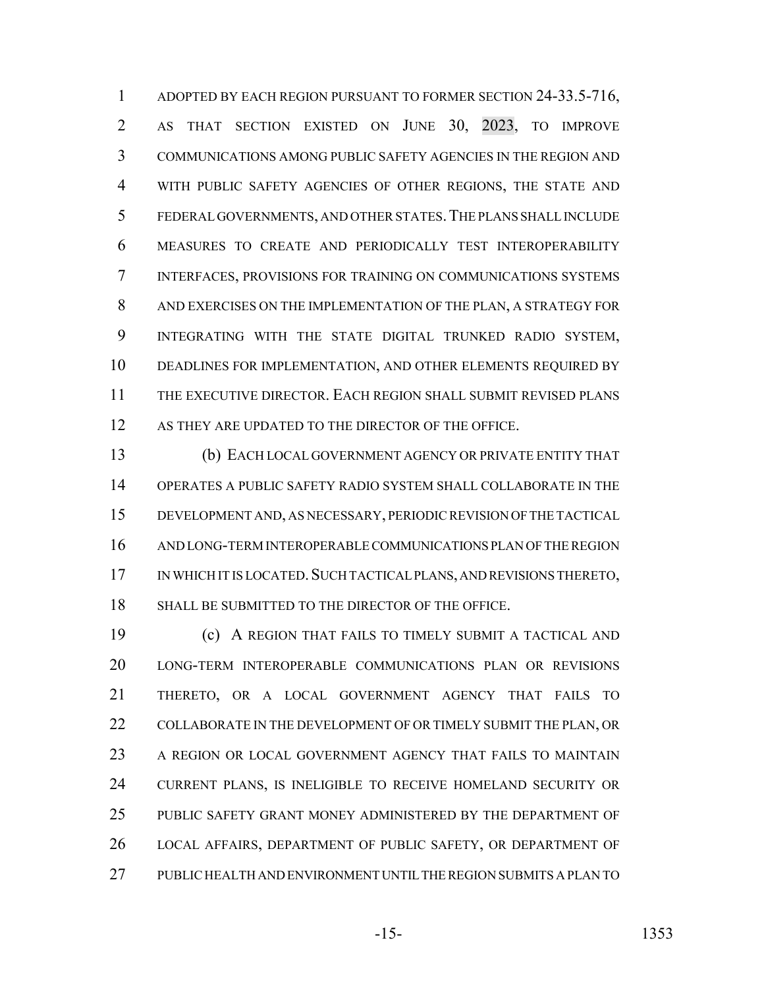1 ADOPTED BY EACH REGION PURSUANT TO FORMER SECTION 24-33.5-716, AS THAT SECTION EXISTED ON JUNE 30, 2023, TO IMPROVE COMMUNICATIONS AMONG PUBLIC SAFETY AGENCIES IN THE REGION AND WITH PUBLIC SAFETY AGENCIES OF OTHER REGIONS, THE STATE AND FEDERAL GOVERNMENTS, AND OTHER STATES.THE PLANS SHALL INCLUDE MEASURES TO CREATE AND PERIODICALLY TEST INTEROPERABILITY INTERFACES, PROVISIONS FOR TRAINING ON COMMUNICATIONS SYSTEMS AND EXERCISES ON THE IMPLEMENTATION OF THE PLAN, A STRATEGY FOR INTEGRATING WITH THE STATE DIGITAL TRUNKED RADIO SYSTEM, DEADLINES FOR IMPLEMENTATION, AND OTHER ELEMENTS REQUIRED BY THE EXECUTIVE DIRECTOR. EACH REGION SHALL SUBMIT REVISED PLANS 12 AS THEY ARE UPDATED TO THE DIRECTOR OF THE OFFICE.

 (b) EACH LOCAL GOVERNMENT AGENCY OR PRIVATE ENTITY THAT OPERATES A PUBLIC SAFETY RADIO SYSTEM SHALL COLLABORATE IN THE DEVELOPMENT AND, AS NECESSARY, PERIODIC REVISION OF THE TACTICAL AND LONG-TERM INTEROPERABLE COMMUNICATIONS PLAN OF THE REGION IN WHICH IT IS LOCATED.SUCH TACTICAL PLANS, AND REVISIONS THERETO, SHALL BE SUBMITTED TO THE DIRECTOR OF THE OFFICE.

 (c) A REGION THAT FAILS TO TIMELY SUBMIT A TACTICAL AND LONG-TERM INTEROPERABLE COMMUNICATIONS PLAN OR REVISIONS THERETO, OR A LOCAL GOVERNMENT AGENCY THAT FAILS TO 22 COLLABORATE IN THE DEVELOPMENT OF OR TIMELY SUBMIT THE PLAN, OR A REGION OR LOCAL GOVERNMENT AGENCY THAT FAILS TO MAINTAIN CURRENT PLANS, IS INELIGIBLE TO RECEIVE HOMELAND SECURITY OR PUBLIC SAFETY GRANT MONEY ADMINISTERED BY THE DEPARTMENT OF LOCAL AFFAIRS, DEPARTMENT OF PUBLIC SAFETY, OR DEPARTMENT OF PUBLIC HEALTH AND ENVIRONMENT UNTIL THE REGION SUBMITS A PLAN TO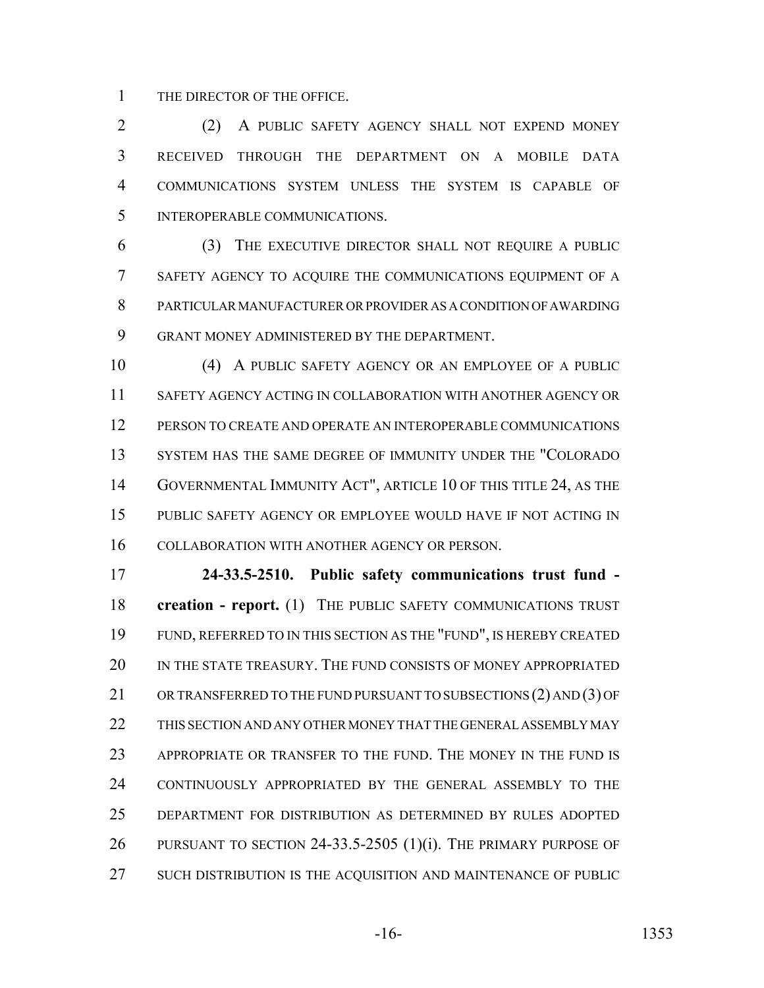THE DIRECTOR OF THE OFFICE.

 (2) A PUBLIC SAFETY AGENCY SHALL NOT EXPEND MONEY RECEIVED THROUGH THE DEPARTMENT ON A MOBILE DATA COMMUNICATIONS SYSTEM UNLESS THE SYSTEM IS CAPABLE OF INTEROPERABLE COMMUNICATIONS.

 (3) THE EXECUTIVE DIRECTOR SHALL NOT REQUIRE A PUBLIC SAFETY AGENCY TO ACQUIRE THE COMMUNICATIONS EQUIPMENT OF A PARTICULAR MANUFACTURER OR PROVIDER AS A CONDITION OF AWARDING GRANT MONEY ADMINISTERED BY THE DEPARTMENT.

 (4) A PUBLIC SAFETY AGENCY OR AN EMPLOYEE OF A PUBLIC SAFETY AGENCY ACTING IN COLLABORATION WITH ANOTHER AGENCY OR PERSON TO CREATE AND OPERATE AN INTEROPERABLE COMMUNICATIONS SYSTEM HAS THE SAME DEGREE OF IMMUNITY UNDER THE "COLORADO GOVERNMENTAL IMMUNITY ACT", ARTICLE 10 OF THIS TITLE 24, AS THE PUBLIC SAFETY AGENCY OR EMPLOYEE WOULD HAVE IF NOT ACTING IN COLLABORATION WITH ANOTHER AGENCY OR PERSON.

 **24-33.5-2510. Public safety communications trust fund - creation - report.** (1) THE PUBLIC SAFETY COMMUNICATIONS TRUST FUND, REFERRED TO IN THIS SECTION AS THE "FUND", IS HEREBY CREATED IN THE STATE TREASURY. THE FUND CONSISTS OF MONEY APPROPRIATED 21 OR TRANSFERRED TO THE FUND PURSUANT TO SUBSECTIONS (2) AND (3) OF THIS SECTION AND ANY OTHER MONEY THAT THE GENERAL ASSEMBLY MAY APPROPRIATE OR TRANSFER TO THE FUND. THE MONEY IN THE FUND IS CONTINUOUSLY APPROPRIATED BY THE GENERAL ASSEMBLY TO THE DEPARTMENT FOR DISTRIBUTION AS DETERMINED BY RULES ADOPTED PURSUANT TO SECTION 24-33.5-2505 (1)(i). THE PRIMARY PURPOSE OF SUCH DISTRIBUTION IS THE ACQUISITION AND MAINTENANCE OF PUBLIC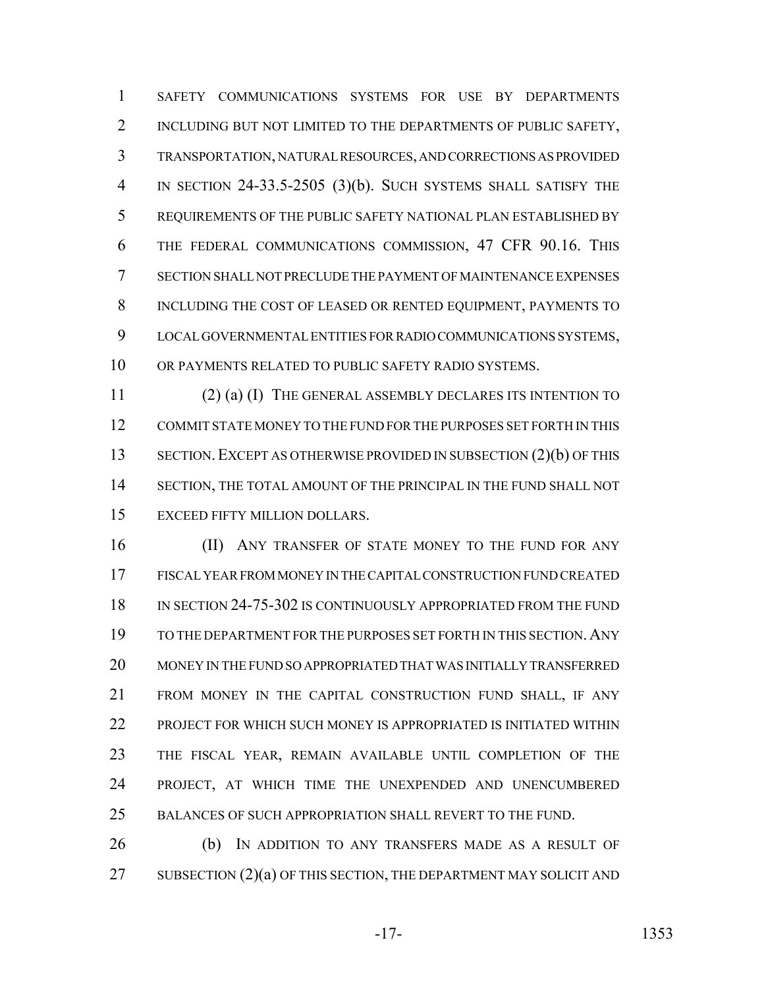SAFETY COMMUNICATIONS SYSTEMS FOR USE BY DEPARTMENTS 2 INCLUDING BUT NOT LIMITED TO THE DEPARTMENTS OF PUBLIC SAFETY, TRANSPORTATION, NATURAL RESOURCES, AND CORRECTIONS AS PROVIDED IN SECTION 24-33.5-2505 (3)(b). SUCH SYSTEMS SHALL SATISFY THE REQUIREMENTS OF THE PUBLIC SAFETY NATIONAL PLAN ESTABLISHED BY THE FEDERAL COMMUNICATIONS COMMISSION, 47 CFR 90.16. THIS SECTION SHALL NOT PRECLUDE THE PAYMENT OF MAINTENANCE EXPENSES INCLUDING THE COST OF LEASED OR RENTED EQUIPMENT, PAYMENTS TO LOCAL GOVERNMENTAL ENTITIES FOR RADIO COMMUNICATIONS SYSTEMS, OR PAYMENTS RELATED TO PUBLIC SAFETY RADIO SYSTEMS.

 (2) (a) (I) THE GENERAL ASSEMBLY DECLARES ITS INTENTION TO COMMIT STATE MONEY TO THE FUND FOR THE PURPOSES SET FORTH IN THIS 13 SECTION. EXCEPT AS OTHERWISE PROVIDED IN SUBSECTION (2)(b) OF THIS SECTION, THE TOTAL AMOUNT OF THE PRINCIPAL IN THE FUND SHALL NOT EXCEED FIFTY MILLION DOLLARS.

16 (II) ANY TRANSFER OF STATE MONEY TO THE FUND FOR ANY FISCAL YEAR FROM MONEY IN THE CAPITAL CONSTRUCTION FUND CREATED IN SECTION 24-75-302 IS CONTINUOUSLY APPROPRIATED FROM THE FUND TO THE DEPARTMENT FOR THE PURPOSES SET FORTH IN THIS SECTION.ANY MONEY IN THE FUND SO APPROPRIATED THAT WAS INITIALLY TRANSFERRED FROM MONEY IN THE CAPITAL CONSTRUCTION FUND SHALL, IF ANY 22 PROJECT FOR WHICH SUCH MONEY IS APPROPRIATED IS INITIATED WITHIN THE FISCAL YEAR, REMAIN AVAILABLE UNTIL COMPLETION OF THE PROJECT, AT WHICH TIME THE UNEXPENDED AND UNENCUMBERED BALANCES OF SUCH APPROPRIATION SHALL REVERT TO THE FUND.

 (b) IN ADDITION TO ANY TRANSFERS MADE AS A RESULT OF 27 SUBSECTION  $(2)(a)$  OF THIS SECTION, THE DEPARTMENT MAY SOLICIT AND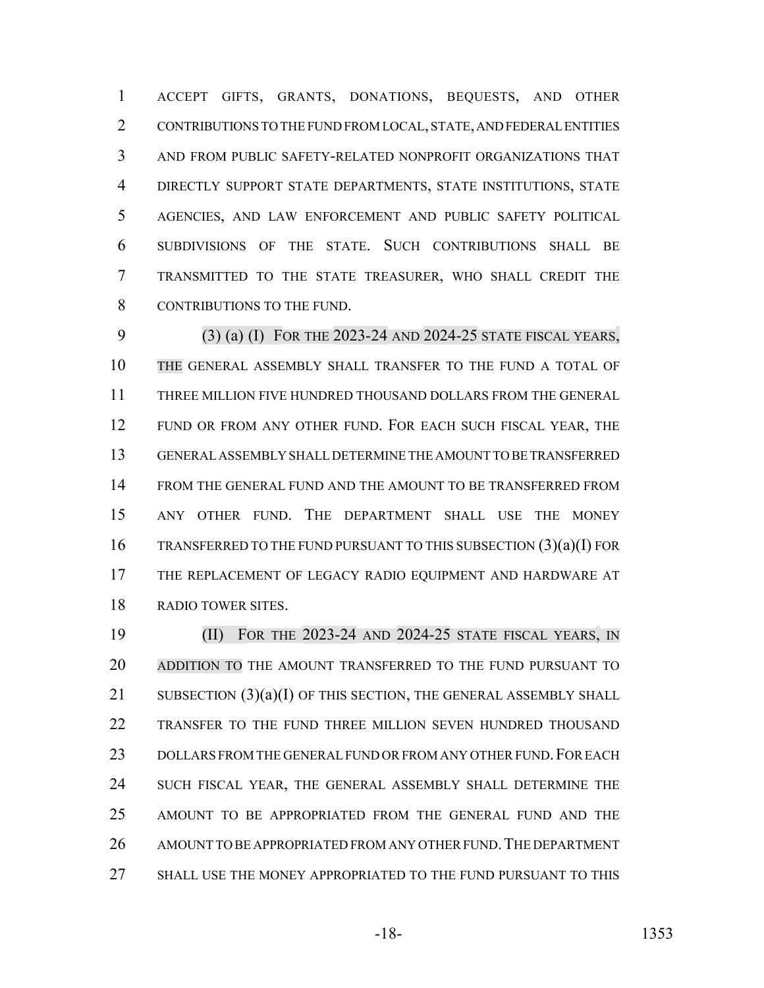ACCEPT GIFTS, GRANTS, DONATIONS, BEQUESTS, AND OTHER CONTRIBUTIONS TO THE FUND FROM LOCAL, STATE, AND FEDERAL ENTITIES AND FROM PUBLIC SAFETY-RELATED NONPROFIT ORGANIZATIONS THAT DIRECTLY SUPPORT STATE DEPARTMENTS, STATE INSTITUTIONS, STATE AGENCIES, AND LAW ENFORCEMENT AND PUBLIC SAFETY POLITICAL SUBDIVISIONS OF THE STATE. SUCH CONTRIBUTIONS SHALL BE TRANSMITTED TO THE STATE TREASURER, WHO SHALL CREDIT THE 8 CONTRIBUTIONS TO THE FUND.

 (3) (a) (I) FOR THE 2023-24 AND 2024-25 STATE FISCAL YEARS, THE GENERAL ASSEMBLY SHALL TRANSFER TO THE FUND A TOTAL OF THREE MILLION FIVE HUNDRED THOUSAND DOLLARS FROM THE GENERAL 12 FUND OR FROM ANY OTHER FUND. FOR EACH SUCH FISCAL YEAR, THE GENERAL ASSEMBLY SHALL DETERMINE THE AMOUNT TO BE TRANSFERRED FROM THE GENERAL FUND AND THE AMOUNT TO BE TRANSFERRED FROM ANY OTHER FUND. THE DEPARTMENT SHALL USE THE MONEY TRANSFERRED TO THE FUND PURSUANT TO THIS SUBSECTION (3)(a)(I) FOR THE REPLACEMENT OF LEGACY RADIO EQUIPMENT AND HARDWARE AT RADIO TOWER SITES.

 (II) FOR THE 2023-24 AND 2024-25 STATE FISCAL YEARS, IN ADDITION TO THE AMOUNT TRANSFERRED TO THE FUND PURSUANT TO SUBSECTION (3)(a)(I) OF THIS SECTION, THE GENERAL ASSEMBLY SHALL TRANSFER TO THE FUND THREE MILLION SEVEN HUNDRED THOUSAND 23 DOLLARS FROM THE GENERAL FUND OR FROM ANY OTHER FUND. FOR EACH 24 SUCH FISCAL YEAR, THE GENERAL ASSEMBLY SHALL DETERMINE THE AMOUNT TO BE APPROPRIATED FROM THE GENERAL FUND AND THE 26 AMOUNT TO BE APPROPRIATED FROM ANY OTHER FUND. THE DEPARTMENT SHALL USE THE MONEY APPROPRIATED TO THE FUND PURSUANT TO THIS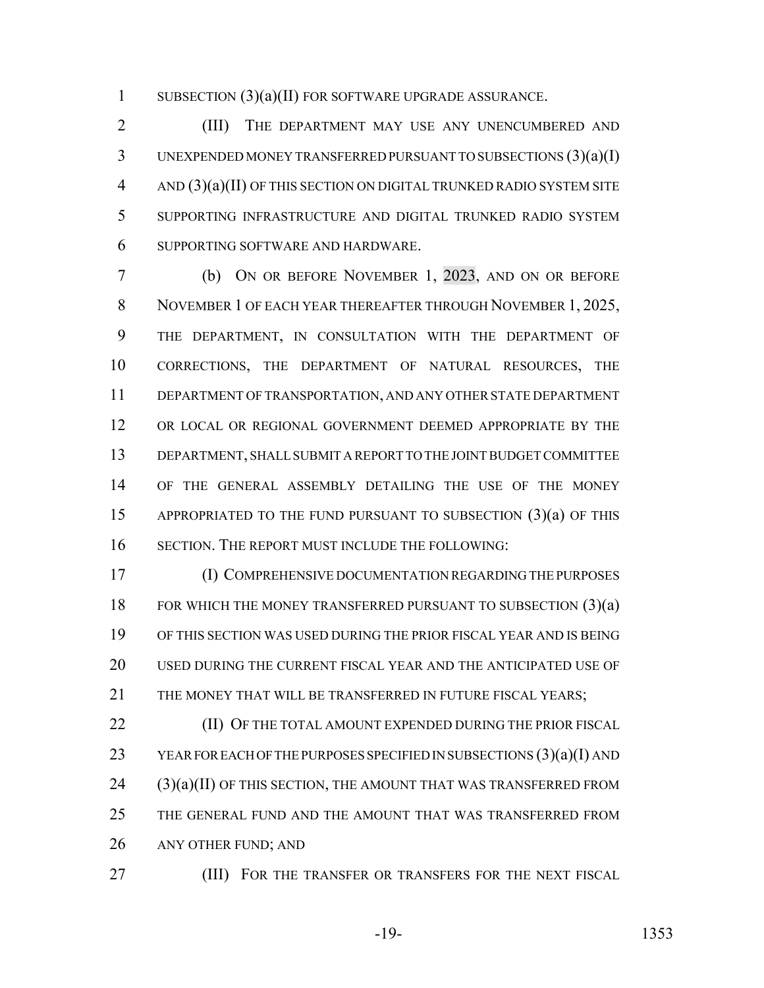SUBSECTION (3)(a)(II) FOR SOFTWARE UPGRADE ASSURANCE.

 (III) THE DEPARTMENT MAY USE ANY UNENCUMBERED AND UNEXPENDED MONEY TRANSFERRED PURSUANT TO SUBSECTIONS (3)(a)(I) AND (3)(a)(II) OF THIS SECTION ON DIGITAL TRUNKED RADIO SYSTEM SITE SUPPORTING INFRASTRUCTURE AND DIGITAL TRUNKED RADIO SYSTEM SUPPORTING SOFTWARE AND HARDWARE.

 (b) ON OR BEFORE NOVEMBER 1, 2023, AND ON OR BEFORE NOVEMBER 1 OF EACH YEAR THEREAFTER THROUGH NOVEMBER 1, 2025, THE DEPARTMENT, IN CONSULTATION WITH THE DEPARTMENT OF CORRECTIONS, THE DEPARTMENT OF NATURAL RESOURCES, THE DEPARTMENT OF TRANSPORTATION, AND ANY OTHER STATE DEPARTMENT OR LOCAL OR REGIONAL GOVERNMENT DEEMED APPROPRIATE BY THE DEPARTMENT, SHALL SUBMIT A REPORT TO THE JOINT BUDGET COMMITTEE OF THE GENERAL ASSEMBLY DETAILING THE USE OF THE MONEY APPROPRIATED TO THE FUND PURSUANT TO SUBSECTION (3)(a) OF THIS SECTION. THE REPORT MUST INCLUDE THE FOLLOWING:

 (I) COMPREHENSIVE DOCUMENTATION REGARDING THE PURPOSES 18 FOR WHICH THE MONEY TRANSFERRED PURSUANT TO SUBSECTION (3)(a) OF THIS SECTION WAS USED DURING THE PRIOR FISCAL YEAR AND IS BEING USED DURING THE CURRENT FISCAL YEAR AND THE ANTICIPATED USE OF THE MONEY THAT WILL BE TRANSFERRED IN FUTURE FISCAL YEARS;

**(II) OF THE TOTAL AMOUNT EXPENDED DURING THE PRIOR FISCAL**  YEAR FOR EACH OF THE PURPOSES SPECIFIED IN SUBSECTIONS (3)(a)(I) AND (3)(a)(II) OF THIS SECTION, THE AMOUNT THAT WAS TRANSFERRED FROM THE GENERAL FUND AND THE AMOUNT THAT WAS TRANSFERRED FROM ANY OTHER FUND; AND

**(III)** FOR THE TRANSFER OR TRANSFERS FOR THE NEXT FISCAL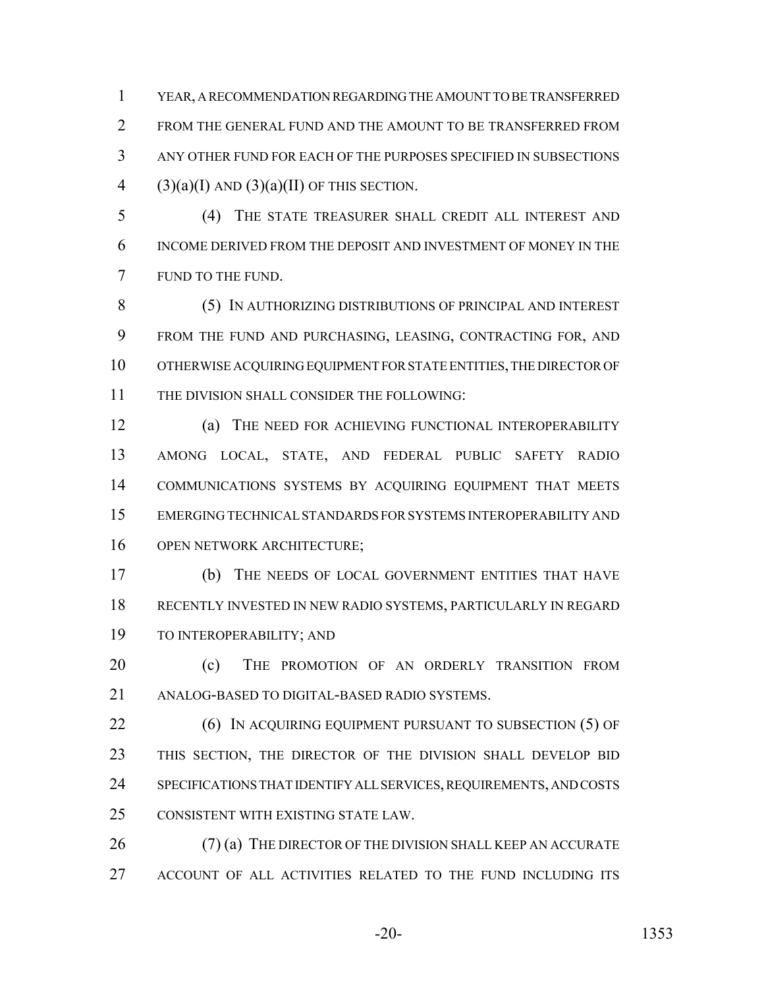YEAR, A RECOMMENDATION REGARDING THE AMOUNT TO BE TRANSFERRED 2 FROM THE GENERAL FUND AND THE AMOUNT TO BE TRANSFERRED FROM ANY OTHER FUND FOR EACH OF THE PURPOSES SPECIFIED IN SUBSECTIONS 4 (3)(a)(I) AND (3)(a)(II) OF THIS SECTION.

 (4) THE STATE TREASURER SHALL CREDIT ALL INTEREST AND INCOME DERIVED FROM THE DEPOSIT AND INVESTMENT OF MONEY IN THE FUND TO THE FUND.

 (5) IN AUTHORIZING DISTRIBUTIONS OF PRINCIPAL AND INTEREST FROM THE FUND AND PURCHASING, LEASING, CONTRACTING FOR, AND OTHERWISE ACQUIRING EQUIPMENT FOR STATE ENTITIES, THE DIRECTOR OF THE DIVISION SHALL CONSIDER THE FOLLOWING:

 (a) THE NEED FOR ACHIEVING FUNCTIONAL INTEROPERABILITY AMONG LOCAL, STATE, AND FEDERAL PUBLIC SAFETY RADIO COMMUNICATIONS SYSTEMS BY ACQUIRING EQUIPMENT THAT MEETS EMERGING TECHNICAL STANDARDS FOR SYSTEMS INTEROPERABILITY AND OPEN NETWORK ARCHITECTURE;

 (b) THE NEEDS OF LOCAL GOVERNMENT ENTITIES THAT HAVE RECENTLY INVESTED IN NEW RADIO SYSTEMS, PARTICULARLY IN REGARD TO INTEROPERABILITY; AND

20 (c) THE PROMOTION OF AN ORDERLY TRANSITION FROM ANALOG-BASED TO DIGITAL-BASED RADIO SYSTEMS.

**(6) IN ACQUIRING EQUIPMENT PURSUANT TO SUBSECTION (5) OF**  THIS SECTION, THE DIRECTOR OF THE DIVISION SHALL DEVELOP BID SPECIFICATIONS THAT IDENTIFY ALL SERVICES, REQUIREMENTS, AND COSTS CONSISTENT WITH EXISTING STATE LAW.

26 (7) (a) THE DIRECTOR OF THE DIVISION SHALL KEEP AN ACCURATE ACCOUNT OF ALL ACTIVITIES RELATED TO THE FUND INCLUDING ITS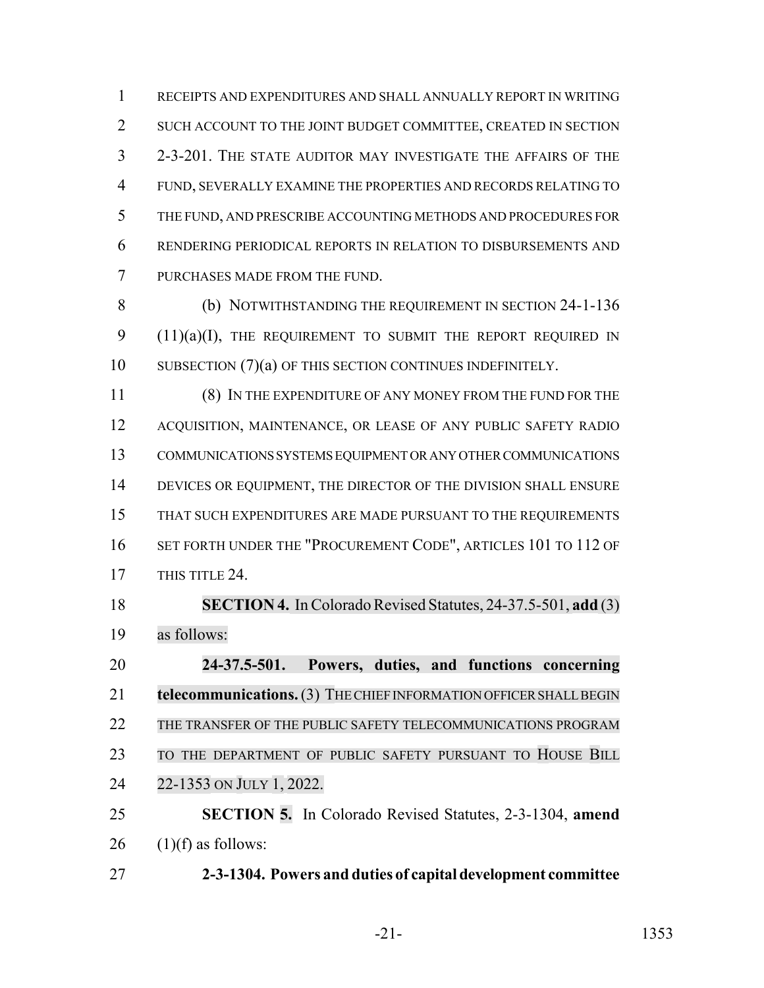RECEIPTS AND EXPENDITURES AND SHALL ANNUALLY REPORT IN WRITING SUCH ACCOUNT TO THE JOINT BUDGET COMMITTEE, CREATED IN SECTION 2-3-201. THE STATE AUDITOR MAY INVESTIGATE THE AFFAIRS OF THE FUND, SEVERALLY EXAMINE THE PROPERTIES AND RECORDS RELATING TO THE FUND, AND PRESCRIBE ACCOUNTING METHODS AND PROCEDURES FOR RENDERING PERIODICAL REPORTS IN RELATION TO DISBURSEMENTS AND PURCHASES MADE FROM THE FUND.

 (b) NOTWITHSTANDING THE REQUIREMENT IN SECTION 24-1-136 9 (11)(a)(I), THE REQUIREMENT TO SUBMIT THE REPORT REQUIRED IN 10 SUBSECTION (7)(a) OF THIS SECTION CONTINUES INDEFINITELY.

 (8) IN THE EXPENDITURE OF ANY MONEY FROM THE FUND FOR THE ACQUISITION, MAINTENANCE, OR LEASE OF ANY PUBLIC SAFETY RADIO COMMUNICATIONS SYSTEMS EQUIPMENT OR ANY OTHER COMMUNICATIONS 14 DEVICES OR EQUIPMENT, THE DIRECTOR OF THE DIVISION SHALL ENSURE THAT SUCH EXPENDITURES ARE MADE PURSUANT TO THE REQUIREMENTS 16 SET FORTH UNDER THE "PROCUREMENT CODE", ARTICLES 101 TO 112 OF 17 THIS TITLE 24.

 **SECTION 4.** In Colorado Revised Statutes, 24-37.5-501, **add** (3) as follows:

 **24-37.5-501. Powers, duties, and functions concerning telecommunications.** (3) THE CHIEF INFORMATION OFFICER SHALL BEGIN THE TRANSFER OF THE PUBLIC SAFETY TELECOMMUNICATIONS PROGRAM TO THE DEPARTMENT OF PUBLIC SAFETY PURSUANT TO HOUSE BILL 22-1353 ON JULY 1, 2022. **SECTION 5.** In Colorado Revised Statutes, 2-3-1304, **amend**

26  $(1)(f)$  as follows:

**2-3-1304. Powers and duties of capital development committee**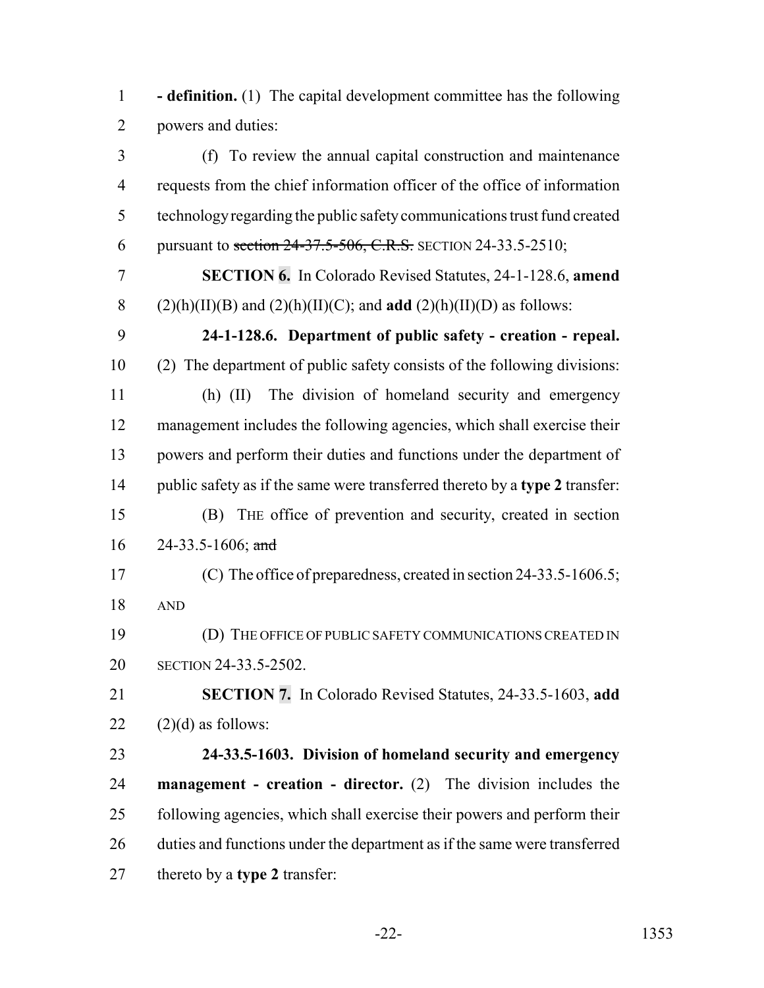**- definition.** (1) The capital development committee has the following powers and duties:

 (f) To review the annual capital construction and maintenance requests from the chief information officer of the office of information technology regarding the public safety communications trust fund created 6 pursuant to section  $24-37.5-506$ , C.R.S. SECTION 24-33.5-2510; **SECTION 6.** In Colorado Revised Statutes, 24-1-128.6, **amend** 8 (2)(h)(II)(B) and (2)(h)(II)(C); and **add** (2)(h)(II)(D) as follows: **24-1-128.6. Department of public safety - creation - repeal.** (2) The department of public safety consists of the following divisions: (h) (II) The division of homeland security and emergency management includes the following agencies, which shall exercise their powers and perform their duties and functions under the department of public safety as if the same were transferred thereto by a **type 2** transfer: (B) THE office of prevention and security, created in section 24-33.5-1606; and (C) The office of preparedness, created in section 24-33.5-1606.5; AND (D) THE OFFICE OF PUBLIC SAFETY COMMUNICATIONS CREATED IN SECTION 24-33.5-2502. **SECTION 7.** In Colorado Revised Statutes, 24-33.5-1603, **add**  $(2)(d)$  as follows: **24-33.5-1603. Division of homeland security and emergency management - creation - director.** (2) The division includes the following agencies, which shall exercise their powers and perform their 26 duties and functions under the department as if the same were transferred thereto by a **type 2** transfer: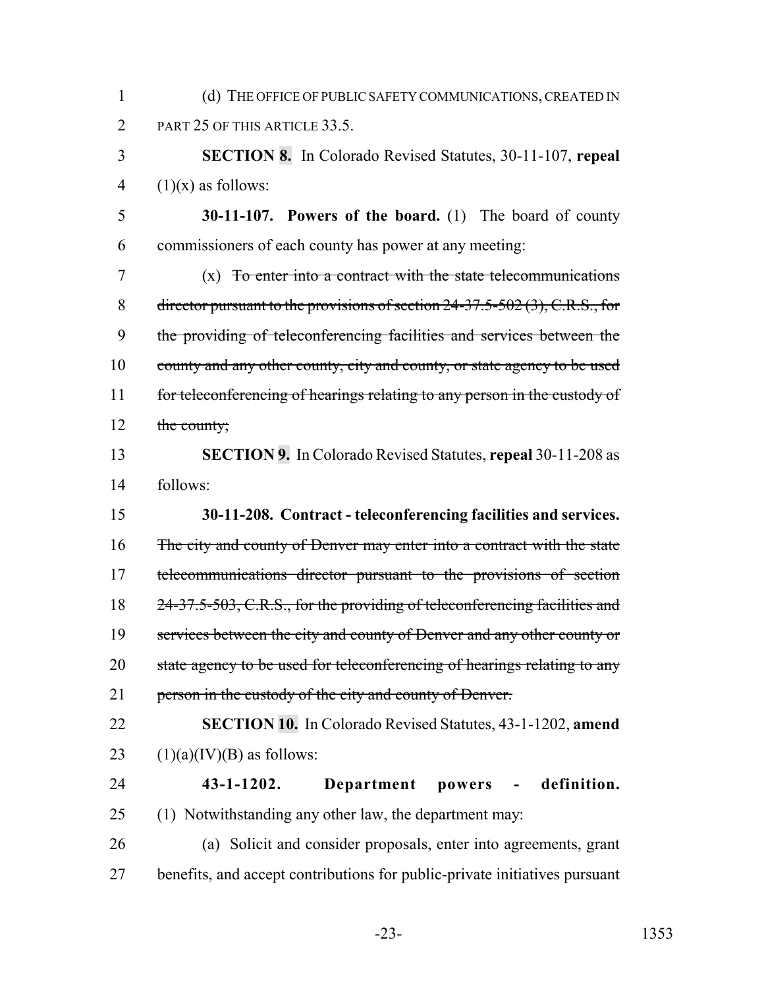1 (d) THE OFFICE OF PUBLIC SAFETY COMMUNICATIONS, CREATED IN 2 PART 25 OF THIS ARTICLE 33.5.

3 **SECTION 8.** In Colorado Revised Statutes, 30-11-107, **repeal** 4  $(1)(x)$  as follows:

5 **30-11-107. Powers of the board.** (1) The board of county 6 commissioners of each county has power at any meeting:

7 (x) To enter into a contract with the state telecommunications 8 director pursuant to the provisions of section 24-37.5-502 (3), C.R.S., for 9 the providing of teleconferencing facilities and services between the 10 county and any other county, city and county, or state agency to be used 11 for teleconferencing of hearings relating to any person in the custody of 12 the county;

13 **SECTION 9.** In Colorado Revised Statutes, **repeal** 30-11-208 as 14 follows:

15 **30-11-208. Contract - teleconferencing facilities and services.** 16 The city and county of Denver may enter into a contract with the state 17 telecommunications director pursuant to the provisions of section 18 24-37.5-503, C.R.S., for the providing of teleconferencing facilities and 19 services between the city and county of Denver and any other county or 20 state agency to be used for teleconferencing of hearings relating to any 21 person in the custody of the city and county of Denver.

22 **SECTION 10.** In Colorado Revised Statutes, 43-1-1202, **amend** 23  $(1)(a)(IV)(B)$  as follows:

# 24 **43-1-1202. Department powers - definition.**

25 (1) Notwithstanding any other law, the department may:

26 (a) Solicit and consider proposals, enter into agreements, grant 27 benefits, and accept contributions for public-private initiatives pursuant